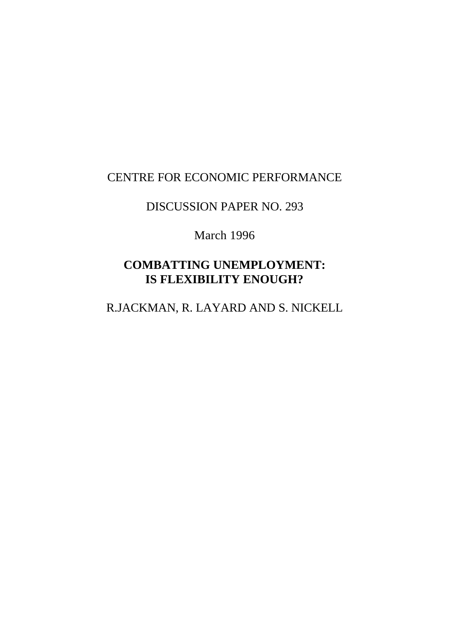### CENTRE FOR ECONOMIC PERFORMANCE

DISCUSSION PAPER NO. 293

March 1996

# **COMBATTING UNEMPLOYMENT: IS FLEXIBILITY ENOUGH?**

R.JACKMAN, R. LAYARD AND S. NICKELL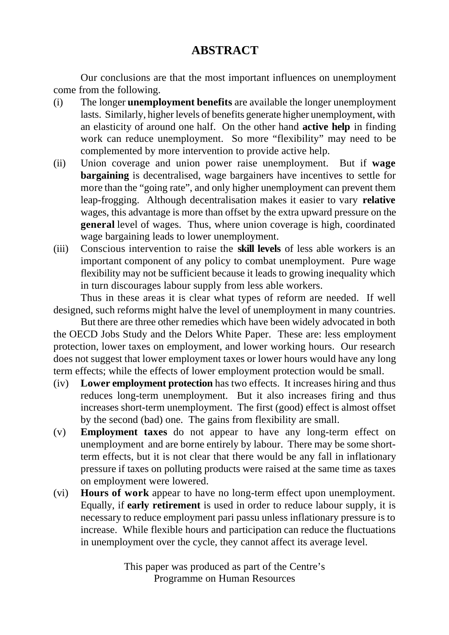# **ABSTRACT**

Our conclusions are that the most important influences on unemployment come from the following.

- (i) The longer **unemployment benefits** are available the longer unemployment lasts. Similarly, higher levels of benefits generate higher unemployment, with an elasticity of around one half. On the other hand **active help** in finding work can reduce unemployment. So more "flexibility" may need to be complemented by more intervention to provide active help.
- (ii) Union coverage and union power raise unemployment. But if **wage bargaining** is decentralised, wage bargainers have incentives to settle for more than the "going rate", and only higher unemployment can prevent them leap-frogging. Although decentralisation makes it easier to vary **relative** wages, this advantage is more than offset by the extra upward pressure on the **general** level of wages. Thus, where union coverage is high, coordinated wage bargaining leads to lower unemployment.
- (iii) Conscious intervention to raise the **skill levels** of less able workers is an important component of any policy to combat unemployment. Pure wage flexibility may not be sufficient because it leads to growing inequality which in turn discourages labour supply from less able workers.

Thus in these areas it is clear what types of reform are needed. If well designed, such reforms might halve the level of unemployment in many countries.

But there are three other remedies which have been widely advocated in both the OECD Jobs Study and the Delors White Paper. These are: less employment protection, lower taxes on employment, and lower working hours. Our research does not suggest that lower employment taxes or lower hours would have any long term effects; while the effects of lower employment protection would be small.

- (iv) **Lower employment protection** has two effects. It increases hiring and thus reduces long-term unemployment. But it also increases firing and thus increases short-term unemployment. The first (good) effect is almost offset by the second (bad) one. The gains from flexibility are small.
- (v) **Employment taxes** do not appear to have any long-term effect on unemployment and are borne entirely by labour. There may be some shortterm effects, but it is not clear that there would be any fall in inflationary pressure if taxes on polluting products were raised at the same time as taxes on employment were lowered.
- (vi) **Hours of work** appear to have no long-term effect upon unemployment. Equally, if **early retirement** is used in order to reduce labour supply, it is necessary to reduce employment pari passu unless inflationary pressure is to increase. While flexible hours and participation can reduce the fluctuations in unemployment over the cycle, they cannot affect its average level.

This paper was produced as part of the Centre's Programme on Human Resources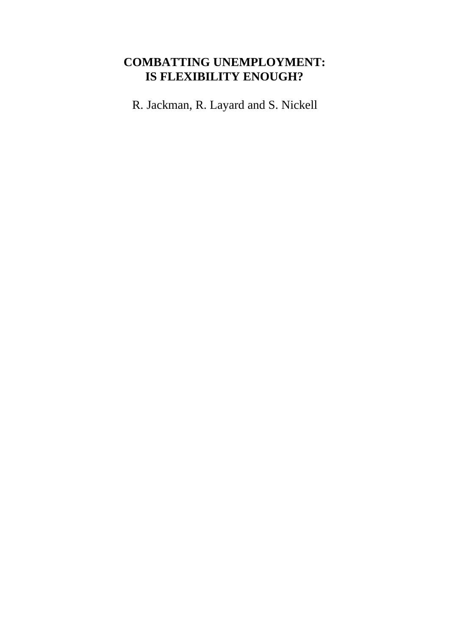# **COMBATTING UNEMPLOYMENT: IS FLEXIBILITY ENOUGH?**

R. Jackman, R. Layard and S. Nickell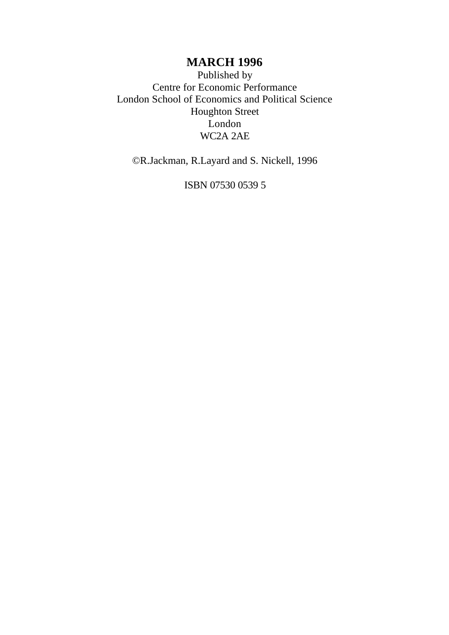### **MARCH 1996**

Published by Centre for Economic Performance London School of Economics and Political Science Houghton Street London WC2A 2AE

©R.Jackman, R.Layard and S. Nickell, 1996

ISBN 07530 0539 5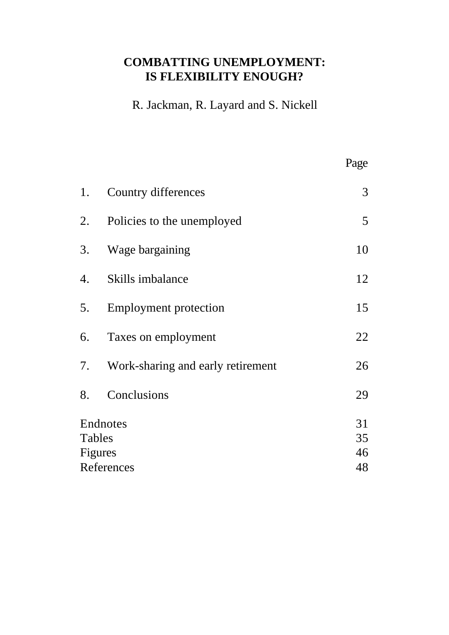# **COMBATTING UNEMPLOYMENT: IS FLEXIBILITY ENOUGH?**

R. Jackman, R. Layard and S. Nickell

|            |                                   | Page |  |
|------------|-----------------------------------|------|--|
| 1.         | Country differences               | 3    |  |
| 2.         | Policies to the unemployed        | 5    |  |
| 3.         | Wage bargaining                   | 10   |  |
| 4.         | Skills imbalance                  | 12   |  |
| 5.         | <b>Employment protection</b>      | 15   |  |
| 6.         | Taxes on employment               | 22   |  |
| 7.         | Work-sharing and early retirement | 26   |  |
| 8.         | Conclusions                       | 29   |  |
| Endnotes   |                                   |      |  |
| Tables     |                                   |      |  |
| Figures    |                                   |      |  |
| References |                                   |      |  |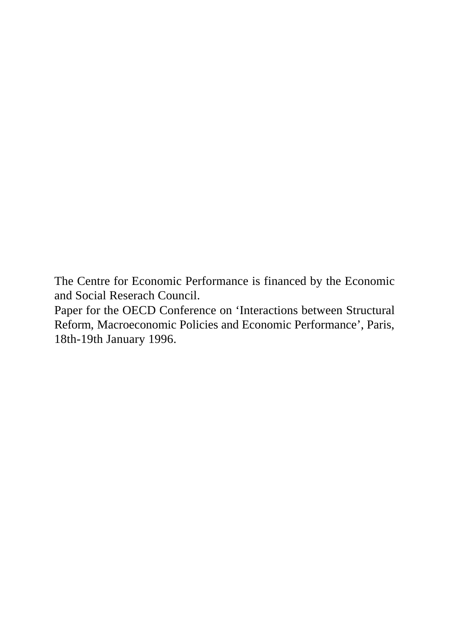The Centre for Economic Performance is financed by the Economic and Social Reserach Council.

Paper for the OECD Conference on 'Interactions between Structural Reform, Macroeconomic Policies and Economic Performance', Paris, 18th-19th January 1996.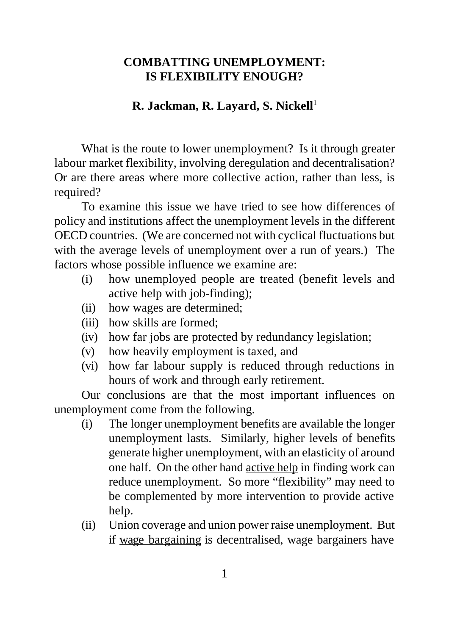# **COMBATTING UNEMPLOYMENT: IS FLEXIBILITY ENOUGH?**

## R. Jackman, R. Layard, S. Nickell<sup>1</sup>

What is the route to lower unemployment? Is it through greater labour market flexibility, involving deregulation and decentralisation? Or are there areas where more collective action, rather than less, is required?

To examine this issue we have tried to see how differences of policy and institutions affect the unemployment levels in the different OECD countries. (We are concerned not with cyclical fluctuations but with the average levels of unemployment over a run of years.) The factors whose possible influence we examine are:

- (i) how unemployed people are treated (benefit levels and active help with job-finding);
- (ii) how wages are determined;
- (iii) how skills are formed;
- (iv) how far jobs are protected by redundancy legislation;
- (v) how heavily employment is taxed, and
- (vi) how far labour supply is reduced through reductions in hours of work and through early retirement.

Our conclusions are that the most important influences on unemployment come from the following.

- (i) The longer unemployment benefits are available the longer unemployment lasts. Similarly, higher levels of benefits generate higher unemployment, with an elasticity of around one half. On the other hand active help in finding work can reduce unemployment. So more "flexibility" may need to be complemented by more intervention to provide active help.
- (ii) Union coverage and union power raise unemployment. But if wage bargaining is decentralised, wage bargainers have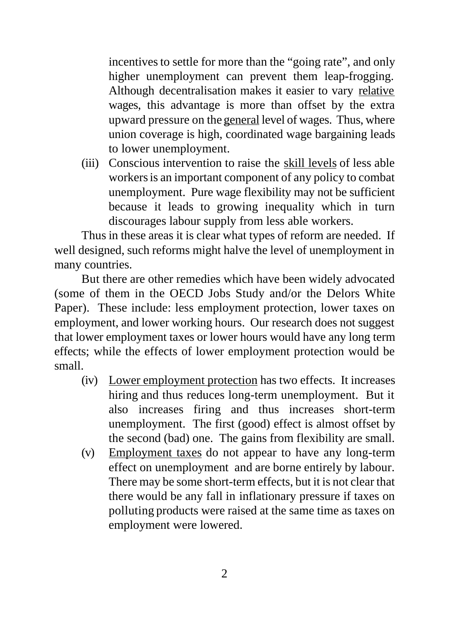incentives to settle for more than the "going rate", and only higher unemployment can prevent them leap-frogging. Although decentralisation makes it easier to vary relative wages, this advantage is more than offset by the extra upward pressure on the general level of wages. Thus, where union coverage is high, coordinated wage bargaining leads to lower unemployment.

(iii) Conscious intervention to raise the skill levels of less able workers is an important component of any policy to combat unemployment. Pure wage flexibility may not be sufficient because it leads to growing inequality which in turn discourages labour supply from less able workers.

Thus in these areas it is clear what types of reform are needed. If well designed, such reforms might halve the level of unemployment in many countries.

But there are other remedies which have been widely advocated (some of them in the OECD Jobs Study and/or the Delors White Paper). These include: less employment protection, lower taxes on employment, and lower working hours. Our research does not suggest that lower employment taxes or lower hours would have any long term effects; while the effects of lower employment protection would be small.

- (iv) Lower employment protection has two effects. It increases hiring and thus reduces long-term unemployment. But it also increases firing and thus increases short-term unemployment. The first (good) effect is almost offset by the second (bad) one. The gains from flexibility are small.
- (v) Employment taxes do not appear to have any long-term effect on unemployment and are borne entirely by labour. There may be some short-term effects, but it is not clear that there would be any fall in inflationary pressure if taxes on polluting products were raised at the same time as taxes on employment were lowered.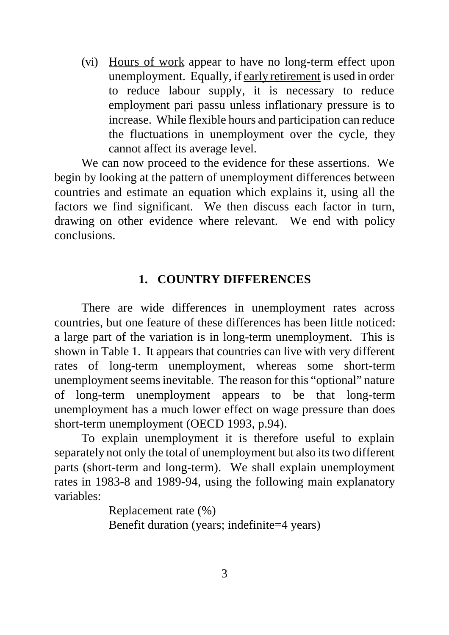(vi) Hours of work appear to have no long-term effect upon unemployment. Equally, if early retirement is used in order to reduce labour supply, it is necessary to reduce employment pari passu unless inflationary pressure is to increase. While flexible hours and participation can reduce the fluctuations in unemployment over the cycle, they cannot affect its average level.

We can now proceed to the evidence for these assertions. We begin by looking at the pattern of unemployment differences between countries and estimate an equation which explains it, using all the factors we find significant. We then discuss each factor in turn, drawing on other evidence where relevant. We end with policy conclusions.

### **1. COUNTRY DIFFERENCES**

There are wide differences in unemployment rates across countries, but one feature of these differences has been little noticed: a large part of the variation is in long-term unemployment. This is shown in Table 1. It appears that countries can live with very different rates of long-term unemployment, whereas some short-term unemployment seems inevitable. The reason for this "optional" nature of long-term unemployment appears to be that long-term unemployment has a much lower effect on wage pressure than does short-term unemployment (OECD 1993, p.94).

To explain unemployment it is therefore useful to explain separately not only the total of unemployment but also its two different parts (short-term and long-term). We shall explain unemployment rates in 1983-8 and 1989-94, using the following main explanatory variables:

> Replacement rate (%) Benefit duration (years; indefinite=4 years)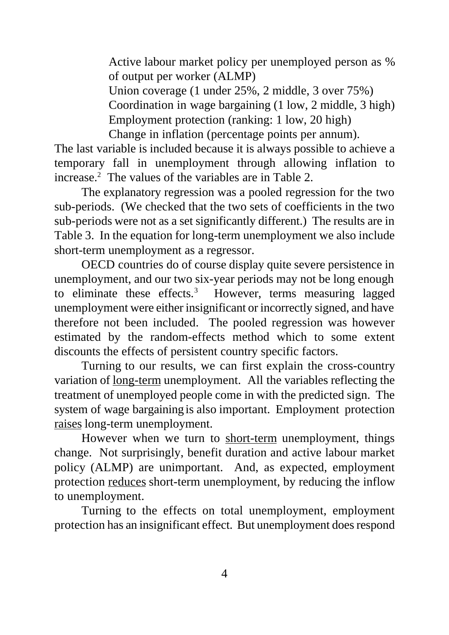Active labour market policy per unemployed person as % of output per worker (ALMP) Union coverage (1 under 25%, 2 middle, 3 over 75%) Coordination in wage bargaining (1 low, 2 middle, 3 high) Employment protection (ranking: 1 low, 20 high) Change in inflation (percentage points per annum).

The last variable is included because it is always possible to achieve a temporary fall in unemployment through allowing inflation to increase.<sup>2</sup> The values of the variables are in Table 2.

The explanatory regression was a pooled regression for the two sub-periods. (We checked that the two sets of coefficients in the two sub-periods were not as a set significantly different.) The results are in Table 3. In the equation for long-term unemployment we also include short-term unemployment as a regressor.

OECD countries do of course display quite severe persistence in unemployment, and our two six-year periods may not be long enough to eliminate these effects.<sup>3</sup> However, terms measuring lagged unemployment were either insignificant or incorrectly signed, and have therefore not been included. The pooled regression was however estimated by the random-effects method which to some extent discounts the effects of persistent country specific factors.

Turning to our results, we can first explain the cross-country variation of long-term unemployment. All the variables reflecting the treatment of unemployed people come in with the predicted sign. The system of wage bargaining is also important. Employment protection raises long-term unemployment.

However when we turn to short-term unemployment, things change. Not surprisingly, benefit duration and active labour market policy (ALMP) are unimportant. And, as expected, employment protection reduces short-term unemployment, by reducing the inflow to unemployment.

Turning to the effects on total unemployment, employment protection has an insignificant effect. But unemployment does respond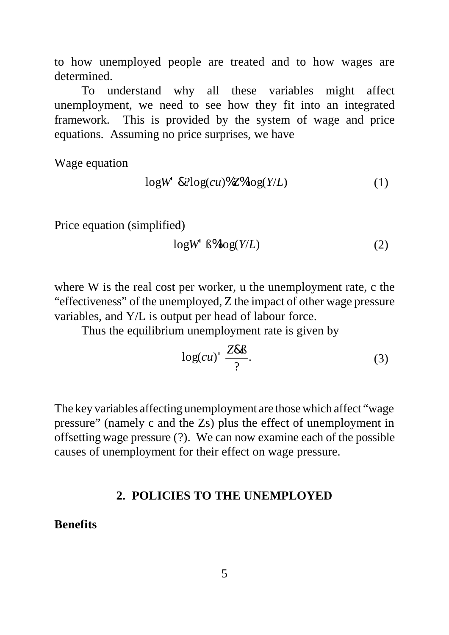to how unemployed people are treated and to how wages are determined.

To understand why all these variables might affect unemployment, we need to see how they fit into an integrated framework. This is provided by the system of wage and price equations. Assuming no price surprises, we have

Wage equation

$$
\log W \ \&? \log(cu) \% Z \% \log(Y/L) \tag{1}
$$

Price equation (simplified)

$$
\log W^{\prime} \ \beta\% \log(Y/L) \tag{2}
$$

where W is the real cost per worker, u the unemployment rate, c the "effectiveness" of the unemployed, Z the impact of other wage pressure variables, and Y/L is output per head of labour force.

Thus the equilibrium unemployment rate is given by

$$
\log(cu)^{\cdot} \frac{Z \& B}{?}. \tag{3}
$$

The key variables affecting unemployment are those which affect "wage pressure" (namely c and the Zs) plus the effect of unemployment in offsetting wage pressure (?). We can now examine each of the possible causes of unemployment for their effect on wage pressure.

### **2. POLICIES TO THE UNEMPLOYED**

### **Benefits**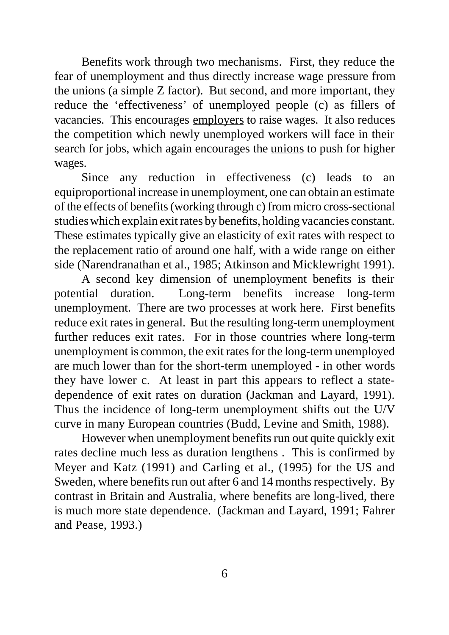Benefits work through two mechanisms. First, they reduce the fear of unemployment and thus directly increase wage pressure from the unions (a simple Z factor). But second, and more important, they reduce the 'effectiveness' of unemployed people (c) as fillers of vacancies. This encourages employers to raise wages. It also reduces the competition which newly unemployed workers will face in their search for jobs, which again encourages the unions to push for higher wages.

Since any reduction in effectiveness (c) leads to an equiproportional increase in unemployment, one can obtain an estimate of the effects of benefits (working through c) from micro cross-sectional studies which explain exit rates by benefits, holding vacancies constant. These estimates typically give an elasticity of exit rates with respect to the replacement ratio of around one half, with a wide range on either side (Narendranathan et al., 1985; Atkinson and Micklewright 1991).

A second key dimension of unemployment benefits is their potential duration. Long-term benefits increase long-term unemployment. There are two processes at work here. First benefits reduce exit rates in general. But the resulting long-term unemployment further reduces exit rates. For in those countries where long-term unemployment is common, the exit rates for the long-term unemployed are much lower than for the short-term unemployed - in other words they have lower c. At least in part this appears to reflect a statedependence of exit rates on duration (Jackman and Layard, 1991). Thus the incidence of long-term unemployment shifts out the U/V curve in many European countries (Budd, Levine and Smith, 1988).

However when unemployment benefits run out quite quickly exit rates decline much less as duration lengthens . This is confirmed by Meyer and Katz (1991) and Carling et al., (1995) for the US and Sweden, where benefits run out after 6 and 14 months respectively. By contrast in Britain and Australia, where benefits are long-lived, there is much more state dependence. (Jackman and Layard, 1991; Fahrer and Pease, 1993.)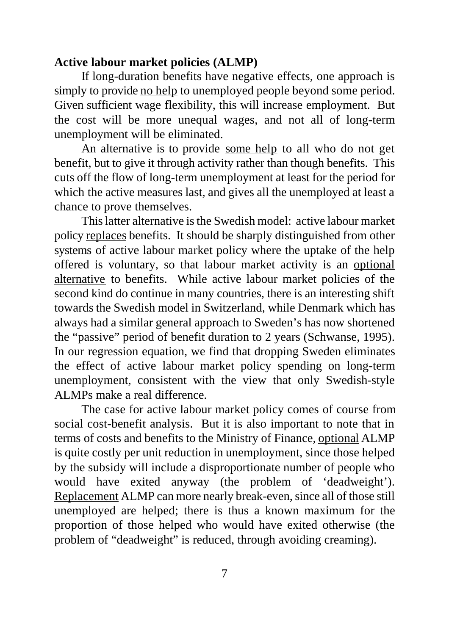### **Active labour market policies (ALMP)**

If long-duration benefits have negative effects, one approach is simply to provide <u>no help</u> to unemployed people beyond some period. Given sufficient wage flexibility, this will increase employment. But the cost will be more unequal wages, and not all of long-term unemployment will be eliminated.

An alternative is to provide some help to all who do not get benefit, but to give it through activity rather than though benefits. This cuts off the flow of long-term unemployment at least for the period for which the active measures last, and gives all the unemployed at least a chance to prove themselves.

This latter alternative is the Swedish model: active labour market policy replaces benefits. It should be sharply distinguished from other systems of active labour market policy where the uptake of the help offered is voluntary, so that labour market activity is an optional alternative to benefits. While active labour market policies of the second kind do continue in many countries, there is an interesting shift towards the Swedish model in Switzerland, while Denmark which has always had a similar general approach to Sweden's has now shortened the "passive" period of benefit duration to 2 years (Schwanse, 1995). In our regression equation, we find that dropping Sweden eliminates the effect of active labour market policy spending on long-term unemployment, consistent with the view that only Swedish-style ALMPs make a real difference.

The case for active labour market policy comes of course from social cost-benefit analysis. But it is also important to note that in terms of costs and benefits to the Ministry of Finance, optional ALMP is quite costly per unit reduction in unemployment, since those helped by the subsidy will include a disproportionate number of people who would have exited anyway (the problem of 'deadweight'). Replacement ALMP can more nearly break-even, since all of those still unemployed are helped; there is thus a known maximum for the proportion of those helped who would have exited otherwise (the problem of "deadweight" is reduced, through avoiding creaming).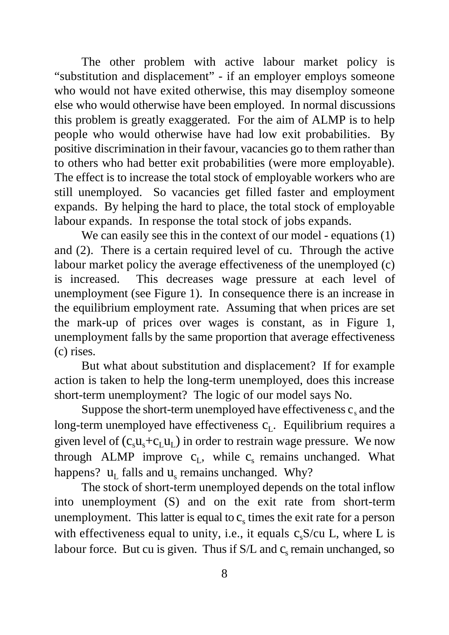The other problem with active labour market policy is "substitution and displacement" - if an employer employs someone who would not have exited otherwise, this may disemploy someone else who would otherwise have been employed. In normal discussions this problem is greatly exaggerated. For the aim of ALMP is to help people who would otherwise have had low exit probabilities. By positive discrimination in their favour, vacancies go to them rather than to others who had better exit probabilities (were more employable). The effect is to increase the total stock of employable workers who are still unemployed. So vacancies get filled faster and employment expands. By helping the hard to place, the total stock of employable labour expands. In response the total stock of jobs expands.

We can easily see this in the context of our model - equations (1) and (2). There is a certain required level of cu. Through the active labour market policy the average effectiveness of the unemployed (c) is increased. This decreases wage pressure at each level of unemployment (see Figure 1). In consequence there is an increase in the equilibrium employment rate. Assuming that when prices are set the mark-up of prices over wages is constant, as in Figure 1, unemployment falls by the same proportion that average effectiveness (c) rises.

But what about substitution and displacement? If for example action is taken to help the long-term unemployed, does this increase short-term unemployment? The logic of our model says No.

Suppose the short-term unemployed have effectiveness  $c_s$  and the long-term unemployed have effectiveness  $c_L$ . Equilibrium requires a given level of  $(c_s u_s + c_L u_L)$  in order to restrain wage pressure. We now through ALMP improve  $c_L$ , while  $c_s$  remains unchanged. What happens?  $u<sub>L</sub>$  falls and  $u<sub>s</sub>$  remains unchanged. Why?

The stock of short-term unemployed depends on the total inflow into unemployment (S) and on the exit rate from short-term unemployment. This latter is equal to  $c_s$  times the exit rate for a person with effectiveness equal to unity, i.e., it equals  $c_sS/cu$  L, where L is labour force. But cu is given. Thus if  $S/L$  and  $c_s$  remain unchanged, so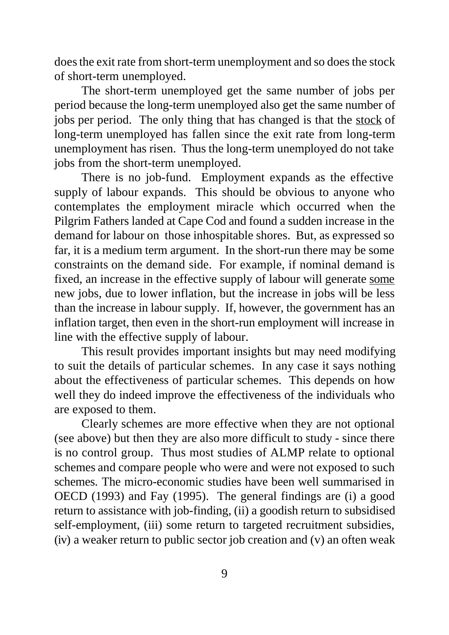does the exit rate from short-term unemployment and so does the stock of short-term unemployed.

The short-term unemployed get the same number of jobs per period because the long-term unemployed also get the same number of jobs per period. The only thing that has changed is that the stock of long-term unemployed has fallen since the exit rate from long-term unemployment has risen. Thus the long-term unemployed do not take jobs from the short-term unemployed.

There is no job-fund. Employment expands as the effective supply of labour expands. This should be obvious to anyone who contemplates the employment miracle which occurred when the Pilgrim Fathers landed at Cape Cod and found a sudden increase in the demand for labour on those inhospitable shores. But, as expressed so far, it is a medium term argument. In the short-run there may be some constraints on the demand side. For example, if nominal demand is fixed, an increase in the effective supply of labour will generate some new jobs, due to lower inflation, but the increase in jobs will be less than the increase in labour supply. If, however, the government has an inflation target, then even in the short-run employment will increase in line with the effective supply of labour.

This result provides important insights but may need modifying to suit the details of particular schemes. In any case it says nothing about the effectiveness of particular schemes. This depends on how well they do indeed improve the effectiveness of the individuals who are exposed to them.

Clearly schemes are more effective when they are not optional (see above) but then they are also more difficult to study - since there is no control group. Thus most studies of ALMP relate to optional schemes and compare people who were and were not exposed to such schemes. The micro-economic studies have been well summarised in OECD (1993) and Fay (1995). The general findings are (i) a good return to assistance with job-finding, (ii) a goodish return to subsidised self-employment, (iii) some return to targeted recruitment subsidies, (iv) a weaker return to public sector job creation and (v) an often weak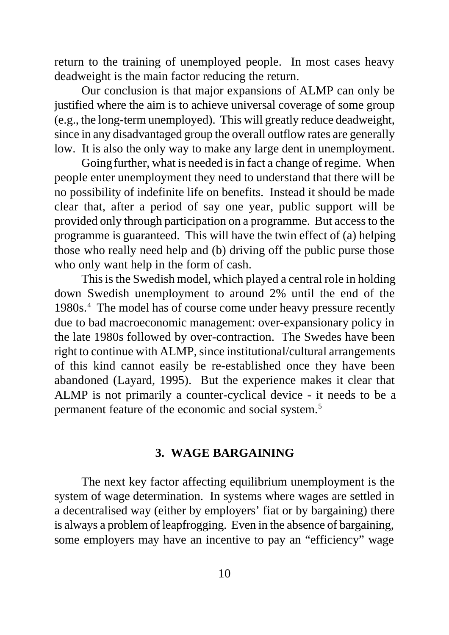return to the training of unemployed people. In most cases heavy deadweight is the main factor reducing the return.

Our conclusion is that major expansions of ALMP can only be justified where the aim is to achieve universal coverage of some group (e.g., the long-term unemployed). This will greatly reduce deadweight, since in any disadvantaged group the overall outflow rates are generally low. It is also the only way to make any large dent in unemployment.

Going further, what is needed is in fact a change of regime. When people enter unemployment they need to understand that there will be no possibility of indefinite life on benefits. Instead it should be made clear that, after a period of say one year, public support will be provided only through participation on a programme. But access to the programme is guaranteed. This will have the twin effect of (a) helping those who really need help and (b) driving off the public purse those who only want help in the form of cash.

This is the Swedish model, which played a central role in holding down Swedish unemployment to around 2% until the end of the 1980s.<sup>4</sup> The model has of course come under heavy pressure recently due to bad macroeconomic management: over-expansionary policy in the late 1980s followed by over-contraction. The Swedes have been right to continue with ALMP, since institutional/cultural arrangements of this kind cannot easily be re-established once they have been abandoned (Layard, 1995). But the experience makes it clear that ALMP is not primarily a counter-cyclical device - it needs to be a permanent feature of the economic and social system.<sup>5</sup>

### **3. WAGE BARGAINING**

The next key factor affecting equilibrium unemployment is the system of wage determination. In systems where wages are settled in a decentralised way (either by employers' fiat or by bargaining) there is always a problem of leapfrogging. Even in the absence of bargaining, some employers may have an incentive to pay an "efficiency" wage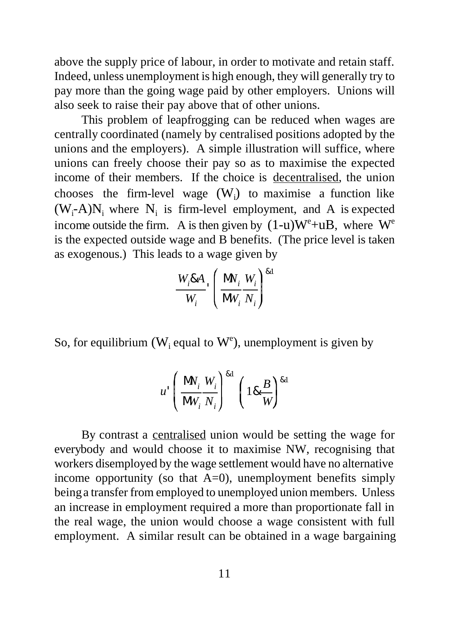above the supply price of labour, in order to motivate and retain staff. Indeed, unless unemployment is high enough, they will generally try to pay more than the going wage paid by other employers. Unions will also seek to raise their pay above that of other unions.

This problem of leapfrogging can be reduced when wages are centrally coordinated (namely by centralised positions adopted by the unions and the employers). A simple illustration will suffice, where unions can freely choose their pay so as to maximise the expected income of their members. If the choice is decentralised, the union chooses the firm-level wage  $(W_i)$  to maximise a function like  $(W_i-A)N_i$  where  $N_i$  is firm-level employment, and A is expected income outside the firm. A is then given by  $(1-u)W^e+uB$ , where  $W^e$ is the expected outside wage and B benefits. (The price level is taken as exogenous.) This leads to a wage given by

$$
\frac{W_i \& A}{W_i} \cdot \left(\frac{\text{MN}_i}{\text{MW}_i} \frac{W_i}{N_i}\right)^{\& 1}
$$

So, for equilibrium ( $W_i$  equal to  $W^e$ ), unemployment is given by

$$
u'\left(\frac{\mathsf{M}N_i}{\mathsf{M}W_i}\frac{W_i}{N_i}\right)^{\&1}\left(1\&frac{B}{W}\right)^{\&1}
$$

By contrast a centralised union would be setting the wage for everybody and would choose it to maximise NW, recognising that workers disemployed by the wage settlement would have no alternative income opportunity (so that  $A=0$ ), unemployment benefits simply being a transfer from employed to unemployed union members. Unless an increase in employment required a more than proportionate fall in the real wage, the union would choose a wage consistent with full employment. A similar result can be obtained in a wage bargaining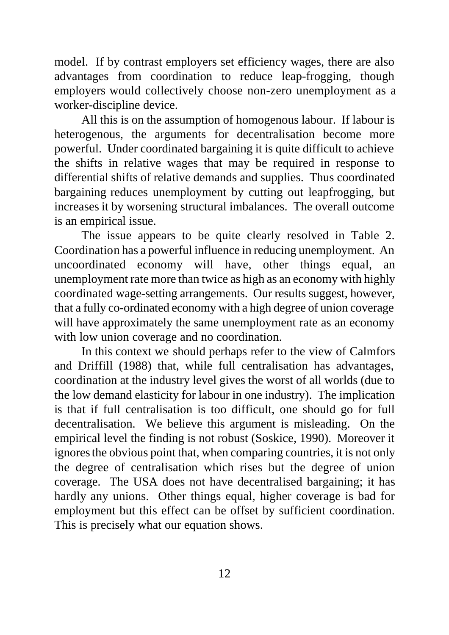model. If by contrast employers set efficiency wages, there are also advantages from coordination to reduce leap-frogging, though employers would collectively choose non-zero unemployment as a worker-discipline device.

All this is on the assumption of homogenous labour. If labour is heterogenous, the arguments for decentralisation become more powerful. Under coordinated bargaining it is quite difficult to achieve the shifts in relative wages that may be required in response to differential shifts of relative demands and supplies. Thus coordinated bargaining reduces unemployment by cutting out leapfrogging, but increases it by worsening structural imbalances. The overall outcome is an empirical issue.

The issue appears to be quite clearly resolved in Table 2. Coordination has a powerful influence in reducing unemployment. An uncoordinated economy will have, other things equal, an unemployment rate more than twice as high as an economy with highly coordinated wage-setting arrangements. Our results suggest, however, that a fully co-ordinated economy with a high degree of union coverage will have approximately the same unemployment rate as an economy with low union coverage and no coordination.

In this context we should perhaps refer to the view of Calmfors and Driffill (1988) that, while full centralisation has advantages, coordination at the industry level gives the worst of all worlds (due to the low demand elasticity for labour in one industry). The implication is that if full centralisation is too difficult, one should go for full decentralisation. We believe this argument is misleading. On the empirical level the finding is not robust (Soskice, 1990). Moreover it ignores the obvious point that, when comparing countries, it is not only the degree of centralisation which rises but the degree of union coverage. The USA does not have decentralised bargaining; it has hardly any unions. Other things equal, higher coverage is bad for employment but this effect can be offset by sufficient coordination. This is precisely what our equation shows.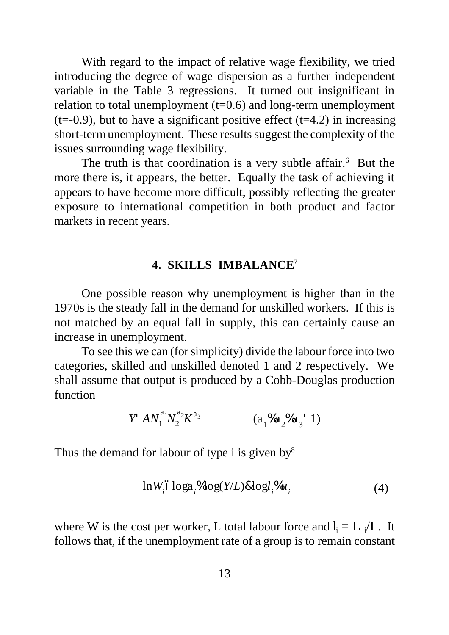With regard to the impact of relative wage flexibility, we tried introducing the degree of wage dispersion as a further independent variable in the Table 3 regressions. It turned out insignificant in relation to total unemployment  $(t=0.6)$  and long-term unemployment ( $t=-0.9$ ), but to have a significant positive effect ( $t=4.2$ ) in increasing short-term unemployment. These results suggest the complexity of the issues surrounding wage flexibility.

The truth is that coordination is a very subtle affair.<sup>6</sup> But the more there is, it appears, the better. Equally the task of achieving it appears to have become more difficult, possibly reflecting the greater exposure to international competition in both product and factor markets in recent years.

#### **4. SKILLS IMBALANCE**<sup>7</sup>

One possible reason why unemployment is higher than in the 1970s is the steady fall in the demand for unskilled workers. If this is not matched by an equal fall in supply, this can certainly cause an increase in unemployment.

To see this we can (for simplicity) divide the labour force into two categories, skilled and unskilled denoted 1 and 2 respectively. We shall assume that output is produced by a Cobb-Douglas production function

$$
Y' A N_1^{a_1} N_2^{a_2} K^{a_3} \t\t (a_1\%a_2\%a_3' 1)
$$

Thus the demand for labour of type i is given by $\delta$ 

$$
\ln W_i \bullet \log a_i \% \log (Y/L) \& \log l_i \% u_i \tag{4}
$$

where W is the cost per worker, L total labour force and  $l_i = L_i/L$ . It follows that, if the unemployment rate of a group is to remain constant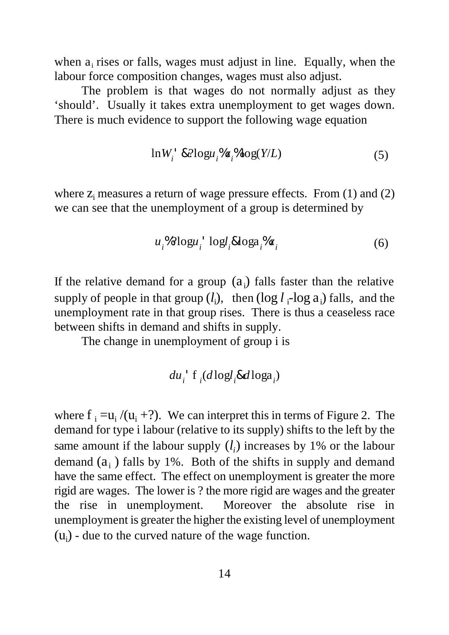when  $a_i$  rises or falls, wages must adjust in line. Equally, when the labour force composition changes, wages must also adjust.

The problem is that wages do not normally adjust as they 'should'. Usually it takes extra unemployment to get wages down. There is much evidence to support the following wage equation

$$
\ln W_i^{\text{T}} \& ?\log u_i\% z_i\% \log(Y/L) \tag{5}
$$

where  $z_i$  measures a return of wage pressure effects. From  $(1)$  and  $(2)$ we can see that the unemployment of a group is determined by

$$
u_i^2 \cdot \log u_i^2 \log l_i \cdot \log u_i^2 \cdot \log u_i \tag{6}
$$

If the relative demand for a group  $(a_i)$  falls faster than the relative supply of people in that group  $(l_i)$ , then  $(\log l_i$ -log  $a_i)$  falls, and the unemployment rate in that group rises. There is thus a ceaseless race between shifts in demand and shifts in supply.

The change in unemployment of group i is

$$
du_i
$$
' f<sub>i</sub>(dlogl<sub>i</sub>&dloga<sub>i</sub>)

where  $f_i = u_i / (u_i + ?)$ . We can interpret this in terms of Figure 2. The demand for type i labour (relative to its supply) shifts to the left by the same amount if the labour supply  $(l_i)$  increases by 1% or the labour demand  $(a_i)$  falls by 1%. Both of the shifts in supply and demand have the same effect. The effect on unemployment is greater the more rigid are wages. The lower is ? the more rigid are wages and the greater the rise in unemployment. Moreover the absolute rise in unemployment is greater the higher the existing level of unemployment  $(u_i)$  - due to the curved nature of the wage function.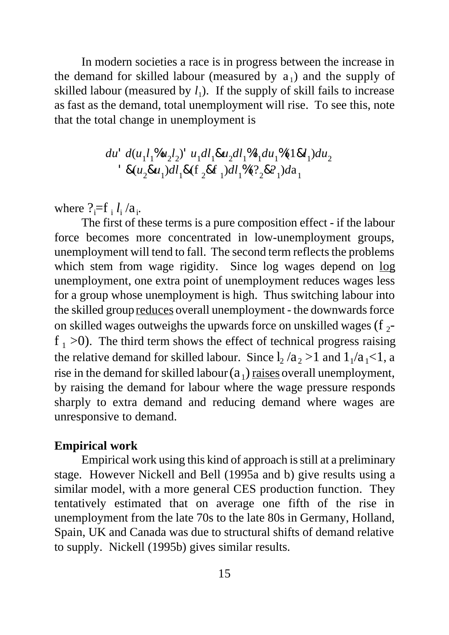In modern societies a race is in progress between the increase in the demand for skilled labour (measured by  $a_1$ ) and the supply of skilled labour (measured by  $l_1$ ). If the supply of skill fails to increase as fast as the demand, total unemployment will rise. To see this, note that the total change in unemployment is

$$
du' d(u_1l_1\%u_2l_2)' u_1dl_1\&u_2dl_1\%l_1du_1\% \frac{1}{2}dl_1\&u_2
$$
  
'  $\& (u_2\&u_1)dl_1\& (\frac{f}{2}\&\frac{f}{2})dl_1\% \frac{2}{2}\&^?_1\&u_1$ 

where  $?$ <sub>i</sub>=f<sub>i</sub> $l_i/a_i$ .

The first of these terms is a pure composition effect - if the labour force becomes more concentrated in low-unemployment groups, unemployment will tend to fall. The second term reflects the problems which stem from wage rigidity. Since log wages depend on <u>log</u> unemployment, one extra point of unemployment reduces wages less for a group whose unemployment is high. Thus switching labour into the skilled group reduces overall unemployment - the downwards force on skilled wages outweighs the upwards force on unskilled wages (f  $_2$  $f_1$  >0). The third term shows the effect of technical progress raising the relative demand for skilled labour. Since  $l_2/a_2 > l$  and  $l_1/a_1 < l$ , a rise in the demand for skilled labour  $(a_1)$  <u>raises</u> overall unemployment, by raising the demand for labour where the wage pressure responds sharply to extra demand and reducing demand where wages are unresponsive to demand.

### **Empirical work**

Empirical work using this kind of approach is still at a preliminary stage. However Nickell and Bell (1995a and b) give results using a similar model, with a more general CES production function. They tentatively estimated that on average one fifth of the rise in unemployment from the late 70s to the late 80s in Germany, Holland, Spain, UK and Canada was due to structural shifts of demand relative to supply. Nickell (1995b) gives similar results.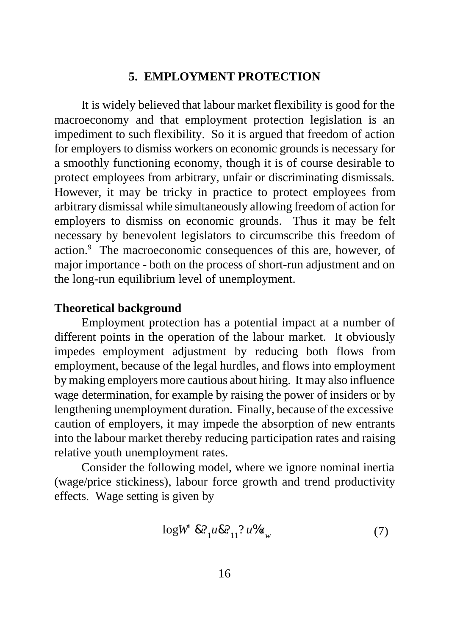### **5. EMPLOYMENT PROTECTION**

It is widely believed that labour market flexibility is good for the macroeconomy and that employment protection legislation is an impediment to such flexibility. So it is argued that freedom of action for employers to dismiss workers on economic grounds is necessary for a smoothly functioning economy, though it is of course desirable to protect employees from arbitrary, unfair or discriminating dismissals. However, it may be tricky in practice to protect employees from arbitrary dismissal while simultaneously allowing freedom of action for employers to dismiss on economic grounds. Thus it may be felt necessary by benevolent legislators to circumscribe this freedom of action.<sup>9</sup> The macroeconomic consequences of this are, however, of major importance - both on the process of short-run adjustment and on the long-run equilibrium level of unemployment.

### **Theoretical background**

Employment protection has a potential impact at a number of different points in the operation of the labour market. It obviously impedes employment adjustment by reducing both flows from employment, because of the legal hurdles, and flows into employment by making employers more cautious about hiring. It may also influence wage determination, for example by raising the power of insiders or by lengthening unemployment duration. Finally, because of the excessive caution of employers, it may impede the absorption of new entrants into the labour market thereby reducing participation rates and raising relative youth unemployment rates.

Consider the following model, where we ignore nominal inertia (wage/price stickiness), labour force growth and trend productivity effects. Wage setting is given by

$$
\log W^{\prime} \, \& ?_{1} u \& ?_{11} ? \, u \& z_{w} \tag{7}
$$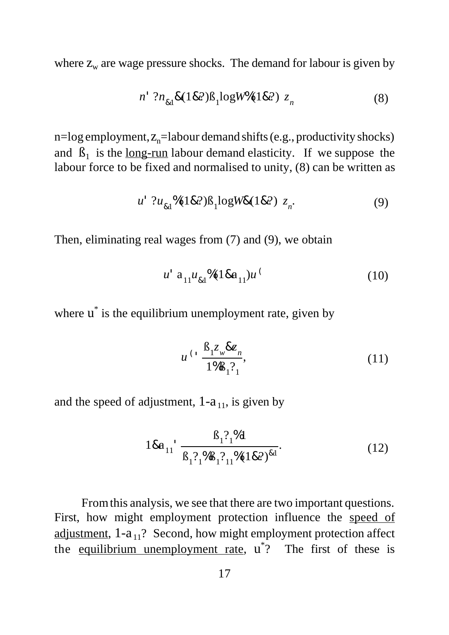where  $z<sub>w</sub>$  are wage pressure shocks. The demand for labour is given by

$$
n' ?n81 & (1 & 2)B1 logW% (1 & 2) zn \tag{8}
$$

n=log employment,  $z_n$ =labour demand shifts (e.g., productivity shocks) and  $\beta_1$  is the <u>long-run</u> labour demand elasticity. If we suppose the labour force to be fixed and normalised to unity, (8) can be written as

$$
u' \; ?u_{81} \% (1 \& ?) B_1 log W & (1 \& ?) z_n. \tag{9}
$$

Then, eliminating real wages from (7) and (9), we obtain

$$
u' a_{11} u_{81} \% (18a_{11}) u^{(1)}
$$
 (10)

where u<sup>\*</sup> is the equilibrium unemployment rate, given by

$$
u^{(1)} \frac{\beta_1 z_w \& z_n}{1\% \beta_1 ?_1},
$$
\n(11)

and the speed of adjustment,  $1-a_{11}$ , is given by

$$
18a_{11} \frac{B_1?_1\%1}{B_1?_1\%B_1?_{11}\% (1\&?)^{\&1}}.\tag{12}
$$

From this analysis, we see that there are two important questions. First, how might employment protection influence the speed of <u>adjustment</u>,  $1-a_{11}$ ? Second, how might employment protection affect the equilibrium unemployment rate, u<sup>\*</sup>? The first of these is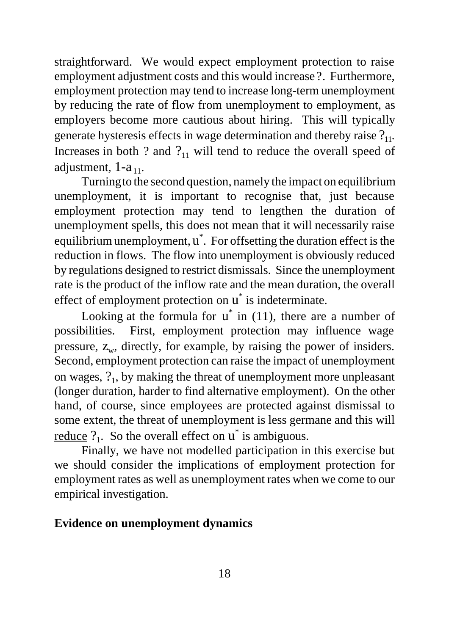straightforward. We would expect employment protection to raise employment adjustment costs and this would increase ?. Furthermore, employment protection may tend to increase long-term unemployment by reducing the rate of flow from unemployment to employment, as employers become more cautious about hiring. This will typically generate hysteresis effects in wage determination and thereby raise  $?_{11}$ . Increases in both ? and  $?_{11}$  will tend to reduce the overall speed of adjustment,  $1-a_{11}$ .

Turning to the second question, namely the impact on equilibrium unemployment, it is important to recognise that, just because employment protection may tend to lengthen the duration of unemployment spells, this does not mean that it will necessarily raise equilibrium unemployment, u<sup>\*</sup>. For offsetting the duration effect is the reduction in flows. The flow into unemployment is obviously reduced by regulations designed to restrict dismissals. Since the unemployment rate is the product of the inflow rate and the mean duration, the overall effect of employment protection on u<sup>\*</sup> is indeterminate.

Looking at the formula for  $u^*$  in (11), there are a number of possibilities. First, employment protection may influence wage pressure,  $z_w$ , directly, for example, by raising the power of insiders. Second, employment protection can raise the impact of unemployment on wages,  $?$ <sub>1</sub>, by making the threat of unemployment more unpleasant (longer duration, harder to find alternative employment). On the other hand, of course, since employees are protected against dismissal to some extent, the threat of unemployment is less germane and this will reduce  $?_1$ . So the overall effect on  $u^*$  is ambiguous.

Finally, we have not modelled participation in this exercise but we should consider the implications of employment protection for employment rates as well as unemployment rates when we come to our empirical investigation.

### **Evidence on unemployment dynamics**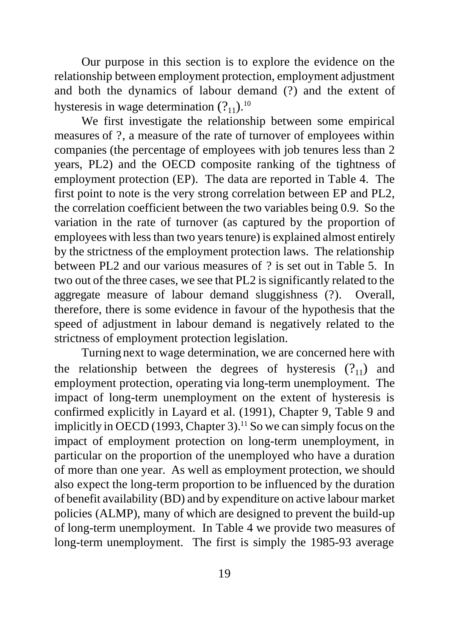Our purpose in this section is to explore the evidence on the relationship between employment protection, employment adjustment and both the dynamics of labour demand (?) and the extent of hysteresis in wage determination  $(?_{11})$ .<sup>10</sup>

We first investigate the relationship between some empirical measures of ?, a measure of the rate of turnover of employees within companies (the percentage of employees with job tenures less than 2 years, PL2) and the OECD composite ranking of the tightness of employment protection (EP). The data are reported in Table 4. The first point to note is the very strong correlation between EP and PL2, the correlation coefficient between the two variables being 0.9. So the variation in the rate of turnover (as captured by the proportion of employees with less than two years tenure) is explained almost entirely by the strictness of the employment protection laws. The relationship between PL2 and our various measures of ? is set out in Table 5. In two out of the three cases, we see that PL2 is significantly related to the aggregate measure of labour demand sluggishness (?). Overall, therefore, there is some evidence in favour of the hypothesis that the speed of adjustment in labour demand is negatively related to the strictness of employment protection legislation.

Turning next to wage determination, we are concerned here with the relationship between the degrees of hysteresis  $(2_{11})$  and employment protection, operating via long-term unemployment. The impact of long-term unemployment on the extent of hysteresis is confirmed explicitly in Layard et al. (1991), Chapter 9, Table 9 and implicitly in OECD (1993, Chapter 3).<sup>11</sup> So we can simply focus on the impact of employment protection on long-term unemployment, in particular on the proportion of the unemployed who have a duration of more than one year. As well as employment protection, we should also expect the long-term proportion to be influenced by the duration of benefit availability (BD) and by expenditure on active labour market policies (ALMP), many of which are designed to prevent the build-up of long-term unemployment. In Table 4 we provide two measures of long-term unemployment. The first is simply the 1985-93 average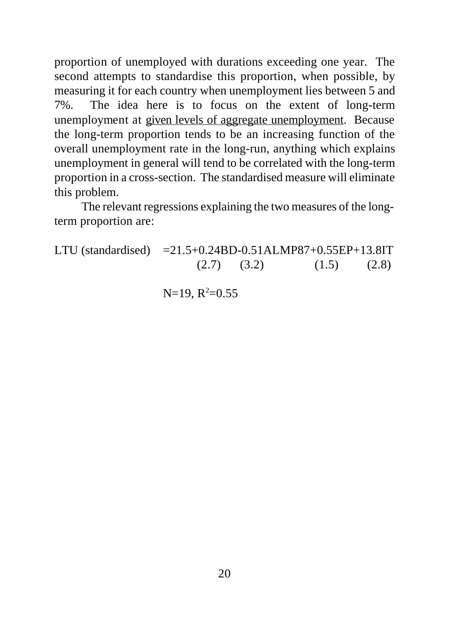proportion of unemployed with durations exceeding one year. The second attempts to standardise this proportion, when possible, by measuring it for each country when unemployment lies between 5 and 7%. The idea here is to focus on the extent of long-term unemployment at given levels of aggregate unemployment. Because the long-term proportion tends to be an increasing function of the overall unemployment rate in the long-run, anything which explains unemployment in general will tend to be correlated with the long-term proportion in a cross-section. The standardised measure will eliminate this problem.

The relevant regressions explaining the two measures of the longterm proportion are:

LTU (standardised) =21.5+0.24BD-0.51ALMP87+0.55EP+13.8IT  $(2.7)$   $(3.2)$   $(1.5)$   $(2.8)$  $N=19$ ,  $R^2=0.55$ 

20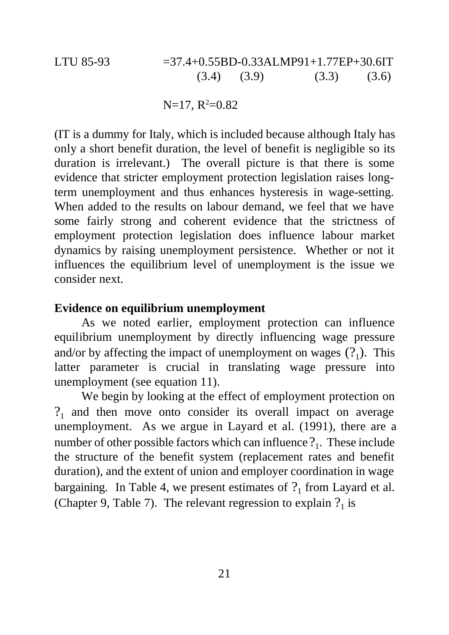LTU 85-93 = 
$$
37.4+0.55BD-0.33ALMP91+1.77EP+30.6IT
$$
  
(3.4) (3.9) (3.3) (3.6)

$$
N=17, R^2=0.82
$$

(IT is a dummy for Italy, which is included because although Italy has only a short benefit duration, the level of benefit is negligible so its duration is irrelevant.) The overall picture is that there is some evidence that stricter employment protection legislation raises longterm unemployment and thus enhances hysteresis in wage-setting. When added to the results on labour demand, we feel that we have some fairly strong and coherent evidence that the strictness of employment protection legislation does influence labour market dynamics by raising unemployment persistence. Whether or not it influences the equilibrium level of unemployment is the issue we consider next.

### **Evidence on equilibrium unemployment**

As we noted earlier, employment protection can influence equilibrium unemployment by directly influencing wage pressure and/or by affecting the impact of unemployment on wages  $(?_1)$ . This latter parameter is crucial in translating wage pressure into unemployment (see equation 11).

We begin by looking at the effect of employment protection on  $?$ <sub>1</sub> and then move onto consider its overall impact on average unemployment. As we argue in Layard et al. (1991), there are a number of other possible factors which can influence  $?_1$ . These include the structure of the benefit system (replacement rates and benefit duration), and the extent of union and employer coordination in wage bargaining. In Table 4, we present estimates of  $?$ <sub>1</sub> from Layard et al. (Chapter 9, Table 7). The relevant regression to explain  $?_1$  is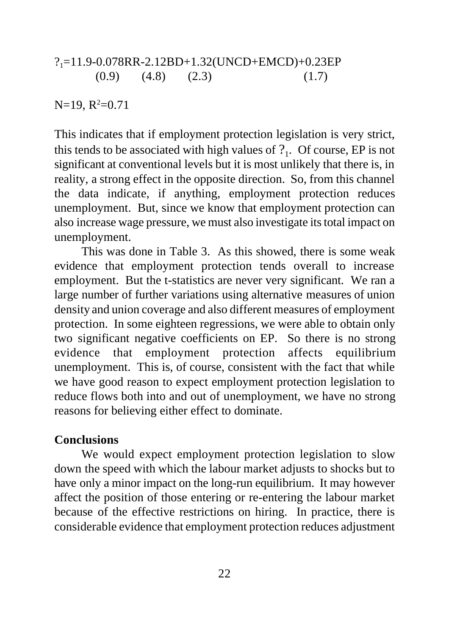# ?1=11.9-0.078RR-2.12BD+1.32(UNCD+EMCD)+0.23EP  $(0.9)$   $(4.8)$   $(2.3)$   $(1.7)$

 $N=19$ ,  $R^2=0.71$ 

This indicates that if employment protection legislation is very strict, this tends to be associated with high values of  $?_1$ . Of course, EP is not significant at conventional levels but it is most unlikely that there is, in reality, a strong effect in the opposite direction. So, from this channel the data indicate, if anything, employment protection reduces unemployment. But, since we know that employment protection can also increase wage pressure, we must also investigate its total impact on unemployment.

This was done in Table 3. As this showed, there is some weak evidence that employment protection tends overall to increase employment. But the t-statistics are never very significant. We ran a large number of further variations using alternative measures of union density and union coverage and also different measures of employment protection. In some eighteen regressions, we were able to obtain only two significant negative coefficients on EP. So there is no strong evidence that employment protection affects equilibrium unemployment. This is, of course, consistent with the fact that while we have good reason to expect employment protection legislation to reduce flows both into and out of unemployment, we have no strong reasons for believing either effect to dominate.

### **Conclusions**

We would expect employment protection legislation to slow down the speed with which the labour market adjusts to shocks but to have only a minor impact on the long-run equilibrium. It may however affect the position of those entering or re-entering the labour market because of the effective restrictions on hiring. In practice, there is considerable evidence that employment protection reduces adjustment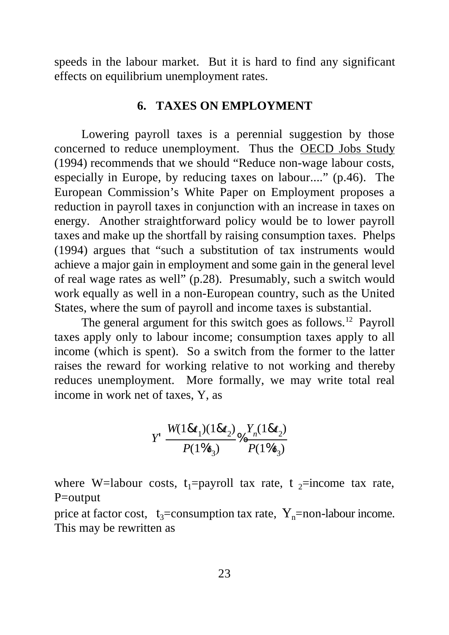speeds in the labour market. But it is hard to find any significant effects on equilibrium unemployment rates.

### **6. TAXES ON EMPLOYMENT**

Lowering payroll taxes is a perennial suggestion by those concerned to reduce unemployment. Thus the OECD Jobs Study (1994) recommends that we should "Reduce non-wage labour costs, especially in Europe, by reducing taxes on labour...." (p.46). The European Commission's White Paper on Employment proposes a reduction in payroll taxes in conjunction with an increase in taxes on energy. Another straightforward policy would be to lower payroll taxes and make up the shortfall by raising consumption taxes. Phelps (1994) argues that "such a substitution of tax instruments would achieve a major gain in employment and some gain in the general level of real wage rates as well" (p.28). Presumably, such a switch would work equally as well in a non-European country, such as the United States, where the sum of payroll and income taxes is substantial.

The general argument for this switch goes as follows.<sup>12</sup> Payroll taxes apply only to labour income; consumption taxes apply to all income (which is spent). So a switch from the former to the latter raises the reward for working relative to not working and thereby reduces unemployment. More formally, we may write total real income in work net of taxes, Y, as

$$
Y' \frac{W(18t_1)(18t_2)}{P(1\%t_3)}\% \frac{Y_n(18t_2)}{P(1\%t_3)}
$$

where W=labour costs, t<sub>1</sub>=payroll tax rate, t<sub>2</sub>=income tax rate, P=output

price at factor cost,  $t_3$ =consumption tax rate,  $Y_n$ =non-labour income. This may be rewritten as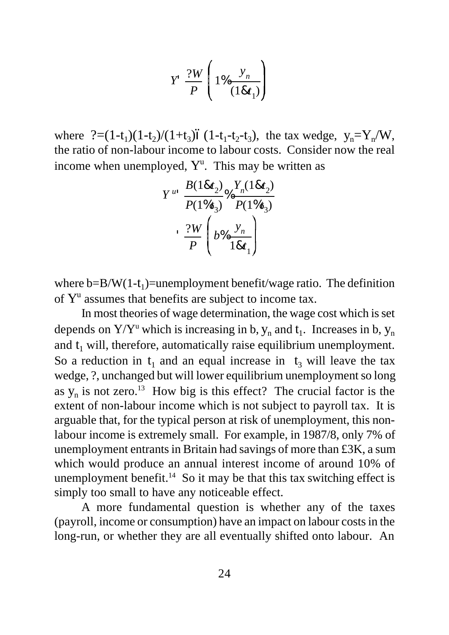$$
Y' \frac{?W}{P} \left( 1\% \frac{y_n}{(18t_1)} \right)
$$

where  $?=(1-t_1)(1-t_2)/(1+t_3) \cdot (1-t_1-t_2-t_3)$ , the tax wedge,  $y_n = Y_n/W$ , the ratio of non-labour income to labour costs. Consider now the real income when unemployed,  $Y^{\text{u}}$ . This may be written as

$$
Y^{u} \frac{B(18t_2)}{P(1\%t_3)} \frac{Y_n(18t_2)}{P(1\%t_3)}
$$

$$
+ \frac{?W}{P} \left(b\% \frac{y_n}{18t_1}\right)
$$

where  $b = B/W(1-t_1)$ =unemployment benefit/wage ratio. The definition of  $Y^{\text{u}}$  assumes that benefits are subject to income tax.

In most theories of wage determination, the wage cost which is set depends on  $Y/Y^u$  which is increasing in b,  $y_n$  and  $t_1$ . Increases in b,  $y_n$ and  $t_1$  will, therefore, automatically raise equilibrium unemployment. So a reduction in  $t_1$  and an equal increase in  $t_3$  will leave the tax wedge, ?, unchanged but will lower equilibrium unemployment so long as  $y_n$  is not zero.<sup>13</sup> How big is this effect? The crucial factor is the extent of non-labour income which is not subject to payroll tax. It is arguable that, for the typical person at risk of unemployment, this nonlabour income is extremely small. For example, in 1987/8, only 7% of unemployment entrants in Britain had savings of more than £3K, a sum which would produce an annual interest income of around 10% of unemployment benefit.<sup>14</sup> So it may be that this tax switching effect is simply too small to have any noticeable effect.

A more fundamental question is whether any of the taxes (payroll, income or consumption) have an impact on labour costs in the long-run, or whether they are all eventually shifted onto labour. An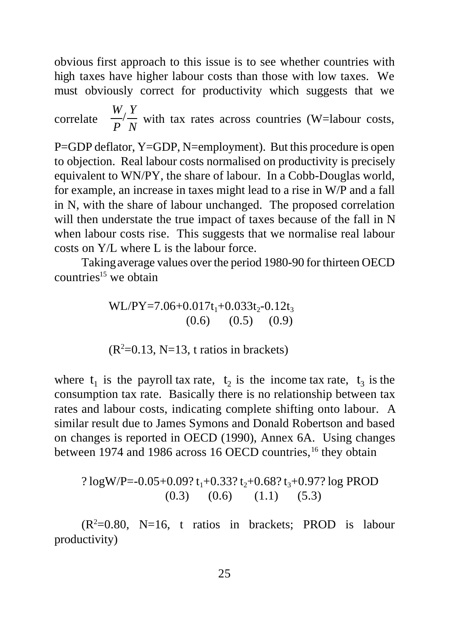obvious first approach to this issue is to see whether countries with high taxes have higher labour costs than those with low taxes. We must obviously correct for productivity which suggests that we

correlate  $\frac{m}{R}$  with tax rates across countries (W=labour costs, *W P* / *Y N*

P=GDP deflator, Y=GDP, N=employment). But this procedure is open to objection. Real labour costs normalised on productivity is precisely equivalent to WN/PY, the share of labour. In a Cobb-Douglas world, for example, an increase in taxes might lead to a rise in W/P and a fall in N, with the share of labour unchanged. The proposed correlation will then understate the true impact of taxes because of the fall in N when labour costs rise. This suggests that we normalise real labour costs on Y/L where L is the labour force.

Taking average values over the period 1980-90 for thirteen OECD countries<sup>15</sup> we obtain

WL/PY=7.06+0.017t1+0.033t<sup>2</sup> -0.12t<sup>3</sup> (0.6) (0.5) (0.9)

 $(R<sup>2</sup>=0.13, N=13, t$  ratios in brackets)

where  $t_1$  is the payroll tax rate,  $t_2$  is the income tax rate,  $t_3$  is the consumption tax rate. Basically there is no relationship between tax rates and labour costs, indicating complete shifting onto labour. A similar result due to James Symons and Donald Robertson and based on changes is reported in OECD (1990), Annex 6A. Using changes between 1974 and 1986 across 16 OECD countries,<sup>16</sup> they obtain

? 
$$
\log W/P = -0.05 + 0.09
$$
?  $t_1 + 0.33$ ?  $t_2 + 0.68$ ?  $t_3 + 0.97$ ?  $\log$  PROD  
(0.3) (0.6) (1.1) (5.3)

 $(R^2=0.80, N=16, t$  ratios in brackets; PROD is labour productivity)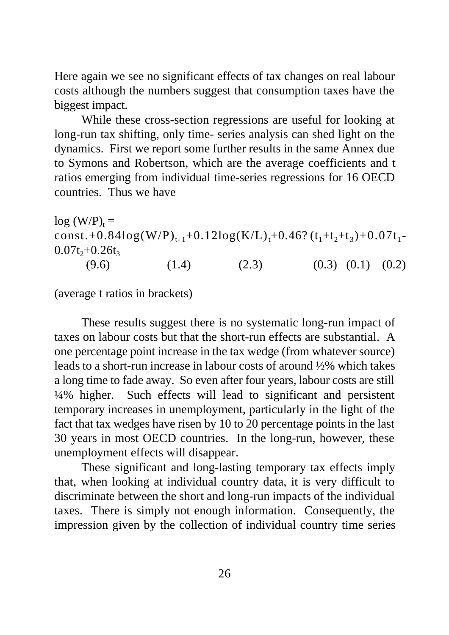Here again we see no significant effects of tax changes on real labour costs although the numbers suggest that consumption taxes have the biggest impact.

While these cross-section regressions are useful for looking at long-run tax shifting, only time- series analysis can shed light on the dynamics. First we report some further results in the same Annex due to Symons and Robertson, which are the average coefficients and t ratios emerging from individual time-series regressions for 16 OECD countries. Thus we have

 $log (W/P)_t =$  $\text{const.} + 0.84 \text{log}(\text{W/P})_{\text{t-1}} + 0.12 \text{log}(\text{K/L})_{\text{t}} + 0.46? (\text{t}_{1} + \text{t}_{2} + \text{t}_{3}) + 0.07 \text{t}_{1}$ - $0.07t_2+0.26t_3$  $(9.6)$   $(1.4)$   $(2.3)$   $(0.3)$   $(0.1)$   $(0.2)$ 

(average t ratios in brackets)

These results suggest there is no systematic long-run impact of taxes on labour costs but that the short-run effects are substantial. A one percentage point increase in the tax wedge (from whatever source) leads to a short-run increase in labour costs of around ½% which takes a long time to fade away. So even after four years, labour costs are still ¼% higher. Such effects will lead to significant and persistent temporary increases in unemployment, particularly in the light of the fact that tax wedges have risen by 10 to 20 percentage points in the last 30 years in most OECD countries. In the long-run, however, these unemployment effects will disappear.

These significant and long-lasting temporary tax effects imply that, when looking at individual country data, it is very difficult to discriminate between the short and long-run impacts of the individual taxes. There is simply not enough information. Consequently, the impression given by the collection of individual country time series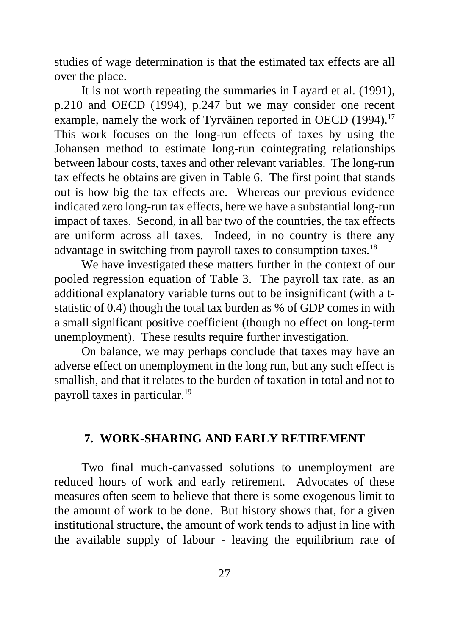studies of wage determination is that the estimated tax effects are all over the place.

It is not worth repeating the summaries in Layard et al. (1991), p.210 and OECD (1994), p.247 but we may consider one recent example, namely the work of Tyrväinen reported in OECD (1994).<sup>17</sup> This work focuses on the long-run effects of taxes by using the Johansen method to estimate long-run cointegrating relationships between labour costs, taxes and other relevant variables. The long-run tax effects he obtains are given in Table 6. The first point that stands out is how big the tax effects are. Whereas our previous evidence indicated zero long-run tax effects, here we have a substantial long-run impact of taxes. Second, in all bar two of the countries, the tax effects are uniform across all taxes. Indeed, in no country is there any advantage in switching from payroll taxes to consumption taxes.<sup>18</sup>

We have investigated these matters further in the context of our pooled regression equation of Table 3. The payroll tax rate, as an additional explanatory variable turns out to be insignificant (with a tstatistic of 0.4) though the total tax burden as % of GDP comes in with a small significant positive coefficient (though no effect on long-term unemployment). These results require further investigation.

On balance, we may perhaps conclude that taxes may have an adverse effect on unemployment in the long run, but any such effect is smallish, and that it relates to the burden of taxation in total and not to payroll taxes in particular.<sup>19</sup>

### **7. WORK-SHARING AND EARLY RETIREMENT**

Two final much-canvassed solutions to unemployment are reduced hours of work and early retirement. Advocates of these measures often seem to believe that there is some exogenous limit to the amount of work to be done. But history shows that, for a given institutional structure, the amount of work tends to adjust in line with the available supply of labour - leaving the equilibrium rate of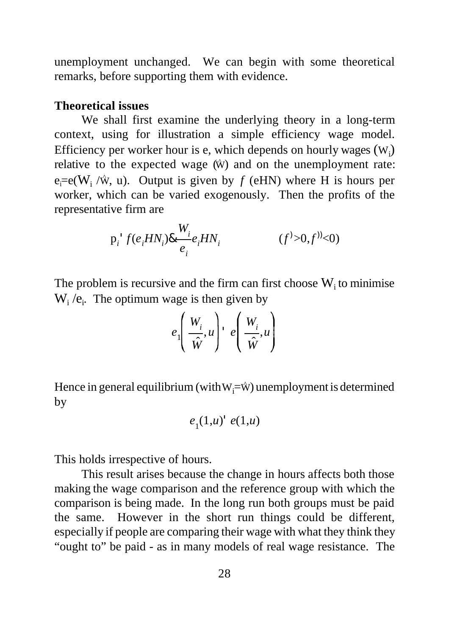unemployment unchanged. We can begin with some theoretical remarks, before supporting them with evidence.

### **Theoretical issues**

We shall first examine the underlying theory in a long-term context, using for illustration a simple efficiency wage model. Efficiency per worker hour is e, which depends on hourly wages  $(W_i)$ relative to the expected wage  $(\hat{w})$  and on the unemployment rate:  $e_i = e(W_i / w, u)$ . Output is given by *f* (eHN) where H is hours per worker, which can be varied exogenously. Then the profits of the representative firm are

$$
p_i^{\ \prime} f(e_i H N_i) \& \frac{W_i}{e_i} e_i H N_i \qquad (f' > 0, f^{i}) < 0)
$$

The problem is recursive and the firm can first choose  $W_i$  to minimise  $W_i / e_i$ . The optimum wage is then given by

$$
e_1\left(\frac{W_i}{\hat{W}},u\right)\cdot e\left(\frac{W_i}{\hat{W}},u\right)
$$

Hence in general equilibrium (with  $W_i = \hat{W}$ ) unemployment is determined by

$$
e_1(1,u)^\mathsf{T} \, e(1,u)
$$

This holds irrespective of hours.

This result arises because the change in hours affects both those making the wage comparison and the reference group with which the comparison is being made. In the long run both groups must be paid the same. However in the short run things could be different, especially if people are comparing their wage with what they think they "ought to" be paid - as in many models of real wage resistance. The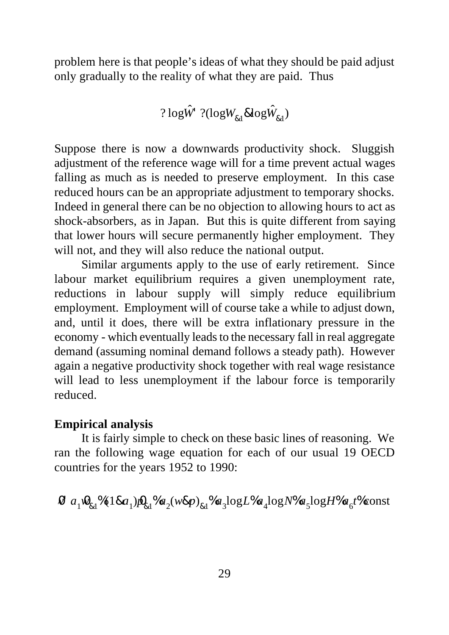problem here is that people's ideas of what they should be paid adjust only gradually to the reality of what they are paid. Thus

$$
? \log \hat{W}^{\bullet} \,\, ?(\log W_{\mathrm{g}_1} \& \log \hat{W}_{\mathrm{g}_1})
$$

Suppose there is now a downwards productivity shock. Sluggish adjustment of the reference wage will for a time prevent actual wages falling as much as is needed to preserve employment. In this case reduced hours can be an appropriate adjustment to temporary shocks. Indeed in general there can be no objection to allowing hours to act as shock-absorbers, as in Japan. But this is quite different from saying that lower hours will secure permanently higher employment. They will not, and they will also reduce the national output.

Similar arguments apply to the use of early retirement. Since labour market equilibrium requires a given unemployment rate, reductions in labour supply will simply reduce equilibrium employment. Employment will of course take a while to adjust down, and, until it does, there will be extra inflationary pressure in the economy - which eventually leads to the necessary fall in real aggregate demand (assuming nominal demand follows a steady path). However again a negative productivity shock together with real wage resistance will lead to less unemployment if the labour force is temporarily reduced.

### **Empirical analysis**

It is fairly simple to check on these basic lines of reasoning. We ran the following wage equation for each of our usual 19 OECD countries for the years 1952 to 1990:

**0**' $a_1 \mathbf{0}_{81}$ % $(18a_1)$  $\mathbf{p}_{81}$ % $a_2(w8p)_{81}$ % $a_3 \log L$ % $a_4 \log N$ % $a_5 \log H$ % $a_6 t$ %const.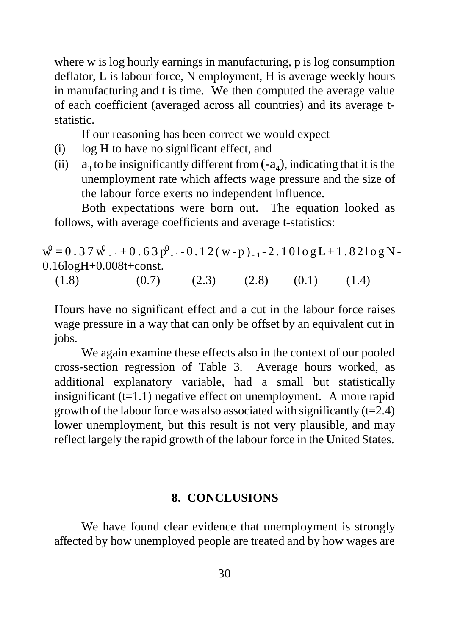where w is log hourly earnings in manufacturing, p is log consumption deflator, L is labour force, N employment, H is average weekly hours in manufacturing and t is time. We then computed the average value of each coefficient (averaged across all countries) and its average tstatistic.

If our reasoning has been correct we would expect

- (i) log H to have no significant effect, and
- $(ii)$ to be insignificantly different from  $(-a_4)$ , indicating that it is the unemployment rate which affects wage pressure and the size of the labour force exerts no independent influence.

Both expectations were born out. The equation looked as follows, with average coefficients and average t-statistics:

 $\mathsf{w}^{\bm{0}} = 0$  . 3 7  $\mathsf{w}^{\bm{0}}$  <sub>- 1</sub> +  $0$  . 6 3  $\mathsf{p}^{\bm{0}}$  <sub>- 1</sub> -  $0$  . 1 2 (  $\mathsf{w}$  -  $\mathsf{p}$  ) <sub>- 1</sub> -  $2$  . 1  $0$   $\log$   $\mathrm{L} + 1$  .  $8$   $2$   $\log$   $\mathrm{N}$  -0.16logH+0.008t+const.

 $(1.8)$   $(0.7)$   $(2.3)$   $(2.8)$   $(0.1)$   $(1.4)$ 

Hours have no significant effect and a cut in the labour force raises wage pressure in a way that can only be offset by an equivalent cut in jobs.

We again examine these effects also in the context of our pooled cross-section regression of Table 3. Average hours worked, as additional explanatory variable, had a small but statistically insignificant  $(t=1.1)$  negative effect on unemployment. A more rapid growth of the labour force was also associated with significantly  $(t=2.4)$ lower unemployment, but this result is not very plausible, and may reflect largely the rapid growth of the labour force in the United States.

#### **8. CONCLUSIONS**

We have found clear evidence that unemployment is strongly affected by how unemployed people are treated and by how wages are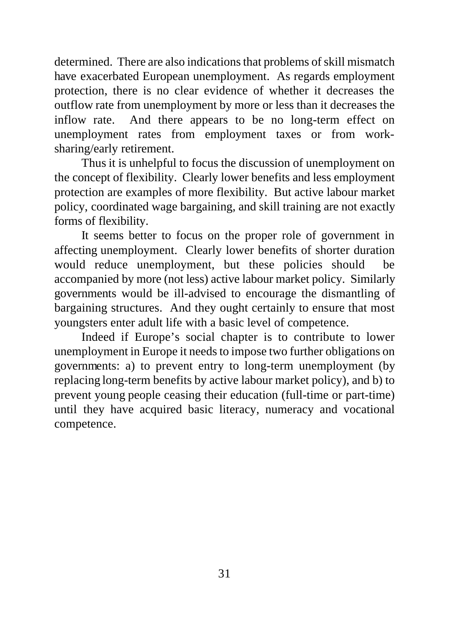determined. There are also indications that problems of skill mismatch have exacerbated European unemployment. As regards employment protection, there is no clear evidence of whether it decreases the outflow rate from unemployment by more or less than it decreases the inflow rate. And there appears to be no long-term effect on unemployment rates from employment taxes or from worksharing/early retirement.

Thus it is unhelpful to focus the discussion of unemployment on the concept of flexibility. Clearly lower benefits and less employment protection are examples of more flexibility. But active labour market policy, coordinated wage bargaining, and skill training are not exactly forms of flexibility.

It seems better to focus on the proper role of government in affecting unemployment. Clearly lower benefits of shorter duration would reduce unemployment, but these policies should be accompanied by more (not less) active labour market policy. Similarly governments would be ill-advised to encourage the dismantling of bargaining structures. And they ought certainly to ensure that most youngsters enter adult life with a basic level of competence.

Indeed if Europe's social chapter is to contribute to lower unemployment in Europe it needs to impose two further obligations on governments: a) to prevent entry to long-term unemployment (by replacing long-term benefits by active labour market policy), and b) to prevent young people ceasing their education (full-time or part-time) until they have acquired basic literacy, numeracy and vocational competence.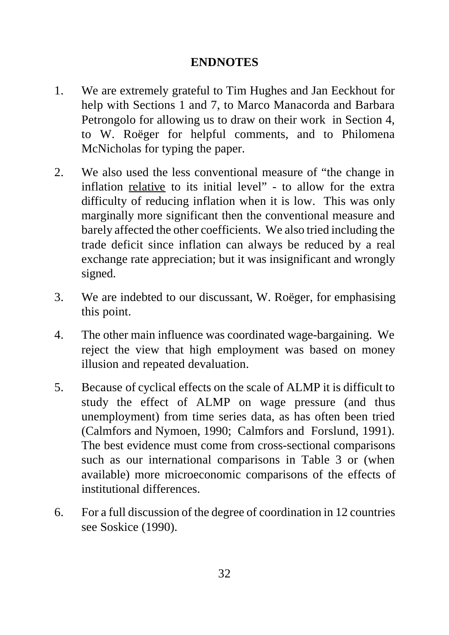## **ENDNOTES**

- 1. We are extremely grateful to Tim Hughes and Jan Eeckhout for help with Sections 1 and 7, to Marco Manacorda and Barbara Petrongolo for allowing us to draw on their work in Section 4, to W. Roëger for helpful comments, and to Philomena McNicholas for typing the paper.
- 2. We also used the less conventional measure of "the change in inflation relative to its initial level" - to allow for the extra difficulty of reducing inflation when it is low. This was only marginally more significant then the conventional measure and barely affected the other coefficients. We also tried including the trade deficit since inflation can always be reduced by a real exchange rate appreciation; but it was insignificant and wrongly signed.
- 3. We are indebted to our discussant, W. Roëger, for emphasising this point.
- 4. The other main influence was coordinated wage-bargaining. We reject the view that high employment was based on money illusion and repeated devaluation.
- 5. Because of cyclical effects on the scale of ALMP it is difficult to study the effect of ALMP on wage pressure (and thus unemployment) from time series data, as has often been tried (Calmfors and Nymoen, 1990; Calmfors and Forslund, 1991). The best evidence must come from cross-sectional comparisons such as our international comparisons in Table 3 or (when available) more microeconomic comparisons of the effects of institutional differences.
- 6. For a full discussion of the degree of coordination in 12 countries see Soskice (1990).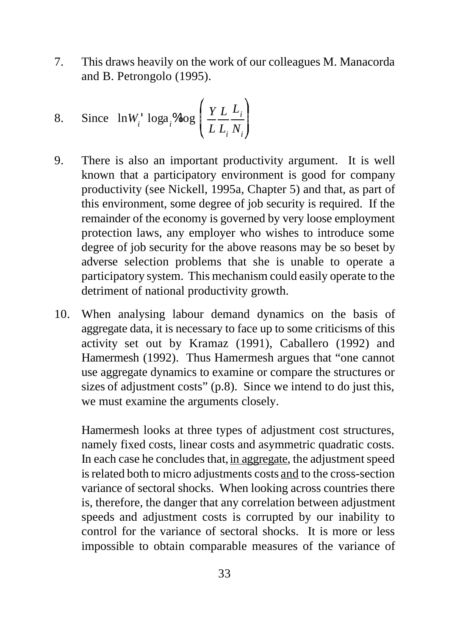7. This draws heavily on the work of our colleagues M. Manacorda and B. Petrongolo (1995).

8. Since 
$$
\ln W_i
$$
  $\log a_i / \log \left( \frac{Y L}{L} \frac{L_i}{L_i} \right)$ 

- 9. There is also an important productivity argument. It is well known that a participatory environment is good for company productivity (see Nickell, 1995a, Chapter 5) and that, as part of this environment, some degree of job security is required. If the remainder of the economy is governed by very loose employment protection laws, any employer who wishes to introduce some degree of job security for the above reasons may be so beset by adverse selection problems that she is unable to operate a participatory system. This mechanism could easily operate to the detriment of national productivity growth.
- 10. When analysing labour demand dynamics on the basis of aggregate data, it is necessary to face up to some criticisms of this activity set out by Kramaz (1991), Caballero (1992) and Hamermesh (1992). Thus Hamermesh argues that "one cannot use aggregate dynamics to examine or compare the structures or sizes of adjustment costs" (p.8). Since we intend to do just this, we must examine the arguments closely.

Hamermesh looks at three types of adjustment cost structures, namely fixed costs, linear costs and asymmetric quadratic costs. In each case he concludes that, in aggregate, the adjustment speed is related both to micro adjustments costs and to the cross-section variance of sectoral shocks. When looking across countries there is, therefore, the danger that any correlation between adjustment speeds and adjustment costs is corrupted by our inability to control for the variance of sectoral shocks. It is more or less impossible to obtain comparable measures of the variance of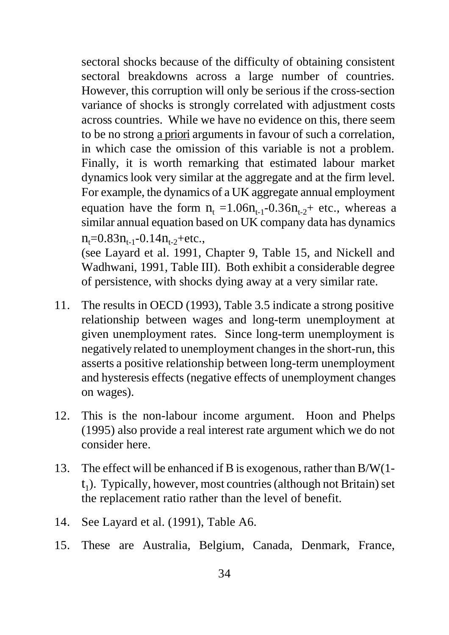sectoral shocks because of the difficulty of obtaining consistent sectoral breakdowns across a large number of countries. However, this corruption will only be serious if the cross-section variance of shocks is strongly correlated with adjustment costs across countries. While we have no evidence on this, there seem to be no strong a priori arguments in favour of such a correlation, in which case the omission of this variable is not a problem. Finally, it is worth remarking that estimated labour market dynamics look very similar at the aggregate and at the firm level. For example, the dynamics of a UK aggregate annual employment equation have the form  $n_t = 1.06n_{t-1} - 0.36n_{t-2} +$  etc., whereas a similar annual equation based on UK company data has dynamics  $n_t = 0.83n_{t-1} - 0.14n_{t-2} + \text{etc.},$ 

(see Layard et al. 1991, Chapter 9, Table 15, and Nickell and Wadhwani, 1991, Table III). Both exhibit a considerable degree of persistence, with shocks dying away at a very similar rate.

- 11. The results in OECD (1993), Table 3.5 indicate a strong positive relationship between wages and long-term unemployment at given unemployment rates. Since long-term unemployment is negatively related to unemployment changes in the short-run, this asserts a positive relationship between long-term unemployment and hysteresis effects (negative effects of unemployment changes on wages).
- 12. This is the non-labour income argument. Hoon and Phelps (1995) also provide a real interest rate argument which we do not consider here.
- 13. The effect will be enhanced if B is exogenous, rather than B/W(1  $t_1$ ). Typically, however, most countries (although not Britain) set the replacement ratio rather than the level of benefit.
- 14. See Layard et al. (1991), Table A6.
- 15. These are Australia, Belgium, Canada, Denmark, France,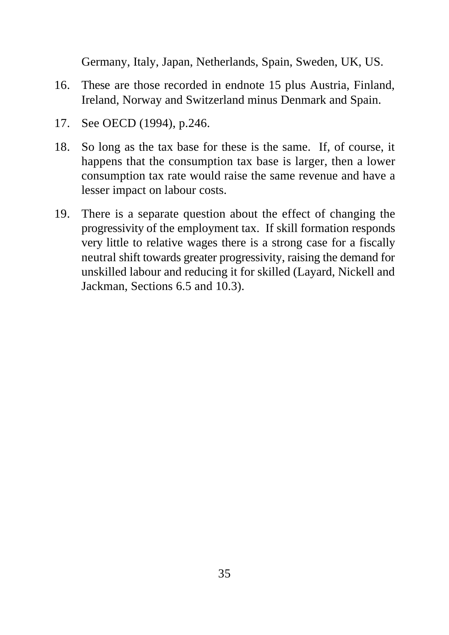Germany, Italy, Japan, Netherlands, Spain, Sweden, UK, US.

- 16. These are those recorded in endnote 15 plus Austria, Finland, Ireland, Norway and Switzerland minus Denmark and Spain.
- 17. See OECD (1994), p.246.
- 18. So long as the tax base for these is the same. If, of course, it happens that the consumption tax base is larger, then a lower consumption tax rate would raise the same revenue and have a lesser impact on labour costs.
- 19. There is a separate question about the effect of changing the progressivity of the employment tax. If skill formation responds very little to relative wages there is a strong case for a fiscally neutral shift towards greater progressivity, raising the demand for unskilled labour and reducing it for skilled (Layard, Nickell and Jackman, Sections 6.5 and 10.3).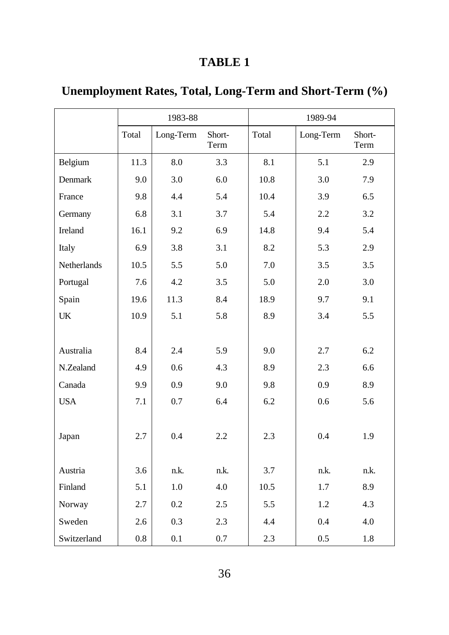# **TABLE 1**

# **Unemployment Rates, Total, Long-Term and Short-Term (%)**

|             |         | 1983-88   |                | 1989-94 |           |                |  |  |
|-------------|---------|-----------|----------------|---------|-----------|----------------|--|--|
|             | Total   | Long-Term | Short-<br>Term | Total   | Long-Term | Short-<br>Term |  |  |
| Belgium     | 11.3    | 8.0       | 3.3            | 8.1     | 5.1       | 2.9            |  |  |
| Denmark     | 9.0     | 3.0       | 6.0            | 10.8    | 3.0       | 7.9            |  |  |
| France      | 9.8     | 4.4       | 5.4            | 10.4    | 3.9       | 6.5            |  |  |
| Germany     | 6.8     | 3.1       | 3.7            | 5.4     | 2.2       | 3.2            |  |  |
| Ireland     | 16.1    | 9.2       | 6.9            | 14.8    | 9.4       | 5.4            |  |  |
| Italy       | 6.9     | 3.8       | 3.1            | 8.2     | 5.3       | 2.9            |  |  |
| Netherlands | 10.5    | 5.5       | 5.0            | 7.0     | 3.5       | 3.5            |  |  |
| Portugal    | 7.6     | 4.2       | 3.5            | 5.0     | 2.0       | 3.0            |  |  |
| Spain       | 19.6    | 11.3      | 8.4            | 18.9    | 9.7       | 9.1            |  |  |
| <b>UK</b>   | 10.9    | 5.1       | 5.8            | 8.9     | 3.4       | 5.5            |  |  |
|             |         |           |                |         |           |                |  |  |
| Australia   | 8.4     | 2.4       | 5.9            | 9.0     | 2.7       | 6.2            |  |  |
| N.Zealand   | 4.9     | 0.6       | 4.3            | 8.9     | 2.3       | 6.6            |  |  |
| Canada      | 9.9     | 0.9       | 9.0            | 9.8     | 0.9       | 8.9            |  |  |
| <b>USA</b>  | 7.1     | 0.7       | 6.4            | 6.2     | 0.6       | 5.6            |  |  |
|             |         |           |                |         |           |                |  |  |
| Japan       | 2.7     | 0.4       | 2.2            | 2.3     | 0.4       | 1.9            |  |  |
|             |         |           |                |         |           |                |  |  |
| Austria     | 3.6     | n.k.      | n.k.           | 3.7     | n.k.      | n.k.           |  |  |
| Finland     | 5.1     | $1.0\,$   | 4.0            | 10.5    | 1.7       | 8.9            |  |  |
| Norway      | 2.7     | 0.2       | 2.5            | 5.5     | 1.2       | 4.3            |  |  |
| Sweden      | 2.6     | 0.3       | 2.3            | 4.4     | 0.4       | 4.0            |  |  |
| Switzerland | $0.8\,$ | 0.1       | 0.7            | 2.3     | 0.5       | 1.8            |  |  |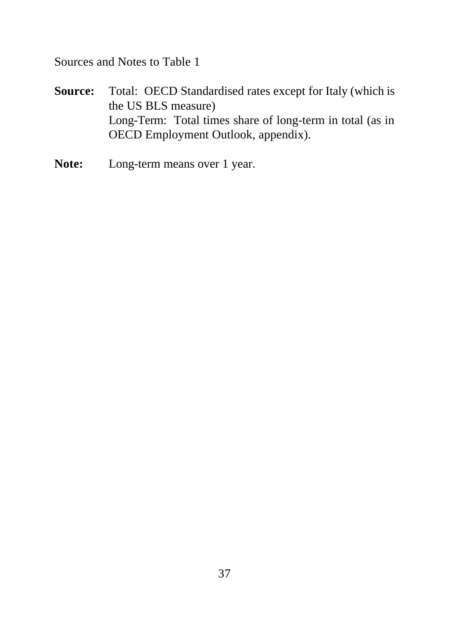Sources and Notes to Table 1

- **Source:** Total: OECD Standardised rates except for Italy (which is the US BLS measure) Long-Term: Total times share of long-term in total (as in OECD Employment Outlook, appendix).
- Note: Long-term means over 1 year.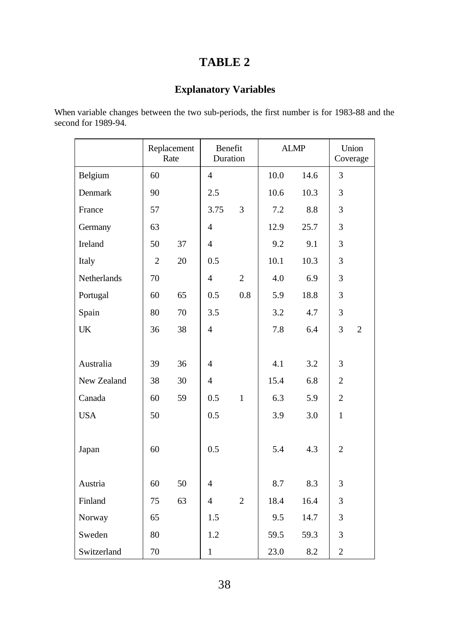### **TABLE 2**

# **Explanatory Variables**

When variable changes between the two sub-periods, the first number is for 1983-88 and the second for 1989-94.

|             | Replacement<br>Rate |    | Benefit<br>Duration |                | <b>ALMP</b> |      | Union<br>Coverage |                |
|-------------|---------------------|----|---------------------|----------------|-------------|------|-------------------|----------------|
| Belgium     | 60                  |    | $\overline{4}$      |                | 10.0        | 14.6 | 3                 |                |
| Denmark     | 90                  |    | 2.5                 |                | 10.6        | 10.3 | 3                 |                |
| France      | 57                  |    | 3.75                | 3              | 7.2         | 8.8  | 3                 |                |
| Germany     | 63                  |    | $\overline{4}$      |                | 12.9        | 25.7 | 3                 |                |
| Ireland     | 50                  | 37 | $\overline{4}$      |                | 9.2         | 9.1  | 3                 |                |
| Italy       | $\overline{2}$      | 20 | 0.5                 |                | 10.1        | 10.3 | 3                 |                |
| Netherlands | 70                  |    | $\overline{4}$      | $\overline{2}$ | 4.0         | 6.9  | 3                 |                |
| Portugal    | 60                  | 65 | 0.5                 | 0.8            | 5.9         | 18.8 | 3                 |                |
| Spain       | 80                  | 70 | 3.5                 |                | 3.2         | 4.7  | 3                 |                |
| UK          | 36                  | 38 | $\overline{4}$      |                | 7.8         | 6.4  | 3                 | $\overline{2}$ |
|             |                     |    |                     |                |             |      |                   |                |
| Australia   | 39                  | 36 | $\overline{4}$      |                | 4.1         | 3.2  | 3                 |                |
| New Zealand | 38                  | 30 | $\overline{4}$      |                | 15.4        | 6.8  | $\mathbf{2}$      |                |
| Canada      | 60                  | 59 | 0.5                 | $\mathbf{1}$   | 6.3         | 5.9  | $\overline{2}$    |                |
| <b>USA</b>  | 50                  |    | 0.5                 |                | 3.9         | 3.0  | $\mathbf{1}$      |                |
|             |                     |    |                     |                |             |      |                   |                |
| Japan       | 60                  |    | 0.5                 |                | 5.4         | 4.3  | $\overline{2}$    |                |
|             |                     |    |                     |                |             |      |                   |                |
| Austria     | 60                  | 50 | $\overline{4}$      |                | 8.7         | 8.3  | 3                 |                |
| Finland     | 75                  | 63 | $\overline{4}$      | $\overline{2}$ | 18.4        | 16.4 | $\mathfrak{Z}$    |                |
| Norway      | 65                  |    | 1.5                 |                | 9.5         | 14.7 | $\mathfrak{Z}$    |                |
| Sweden      | 80                  |    | 1.2                 |                | 59.5        | 59.3 | 3                 |                |
| Switzerland | 70                  |    | $\mathbf{1}$        |                | 23.0        | 8.2  | $\overline{2}$    |                |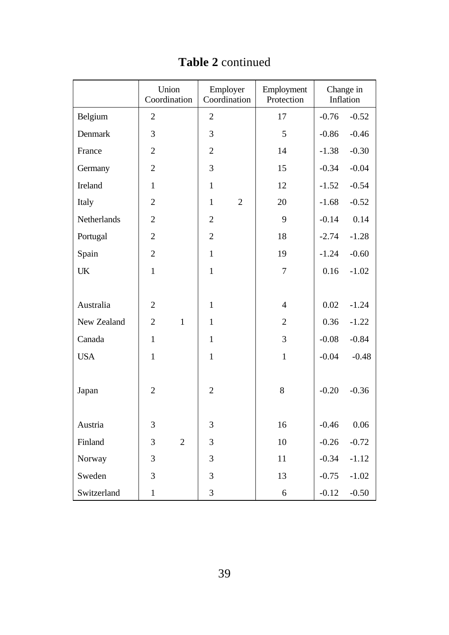|             | Union<br>Coordination          |  | Employer<br>Coordination |                | Employment<br>Protection | Change in<br>Inflation |          |
|-------------|--------------------------------|--|--------------------------|----------------|--------------------------|------------------------|----------|
| Belgium     | $\overline{2}$                 |  | $\mathbf{2}$             |                | 17                       | $-0.76$                | $-0.52$  |
| Denmark     | 3                              |  | 3                        |                | 5                        | $-0.86$                | $-0.46$  |
| France      | $\overline{2}$                 |  | $\overline{2}$           |                | 14                       | $-1.38$                | $-0.30$  |
| Germany     | $\overline{2}$                 |  | 3                        |                | 15                       | $-0.34$                | $-0.04$  |
| Ireland     | $\mathbf{1}$                   |  | $\mathbf{1}$             |                | 12                       | $-1.52$                | $-0.54$  |
| Italy       | $\overline{2}$                 |  | $\mathbf{1}$             | $\overline{2}$ | 20                       | $-1.68$                | $-0.52$  |
| Netherlands | $\overline{2}$                 |  | $\overline{2}$           |                | 9                        | $-0.14$                | 0.14     |
| Portugal    | $\overline{2}$                 |  | $\overline{2}$           |                | 18                       | $-2.74$                | $-1.28$  |
| Spain       | $\overline{2}$                 |  | $\mathbf{1}$             |                | 19                       | $-1.24$                | $-0.60$  |
| <b>UK</b>   | $\mathbf{1}$                   |  | $\mathbf{1}$             |                | $\boldsymbol{7}$         | 0.16                   | $-1.02$  |
|             |                                |  |                          |                |                          |                        |          |
| Australia   | $\overline{2}$                 |  | $\mathbf{1}$             |                | $\overline{4}$           | 0.02                   | $-1.24$  |
| New Zealand | $\overline{2}$<br>$\mathbf{1}$ |  | $\mathbf{1}$             |                | $\overline{2}$           | 0.36                   | $-1.22$  |
| Canada      | $\mathbf{1}$                   |  | $\mathbf{1}$             |                | 3                        | $-0.08$                | $-0.84$  |
| <b>USA</b>  | $\mathbf{1}$                   |  | $\mathbf{1}$             |                | $\mathbf{1}$             | $-0.04$                | $-0.48$  |
|             |                                |  |                          |                |                          |                        |          |
| Japan       | $\overline{2}$                 |  | $\overline{2}$           |                | 8                        | $-0.20$                | $-0.36$  |
|             |                                |  |                          |                |                          |                        |          |
| Austria     | 3                              |  | 3                        |                | 16                       | $-0.46$                | $0.06\,$ |
| Finland     | 3<br>$\mathbf{2}$              |  | 3                        |                | 10                       | $-0.26$                | $-0.72$  |
| Norway      | 3                              |  | 3                        |                | 11                       | $-0.34$                | $-1.12$  |
| Sweden      | 3                              |  | 3                        |                | 13                       | $-0.75$                | $-1.02$  |
| Switzerland | $\mathbf{1}$                   |  | $\mathfrak{Z}$           |                | $\boldsymbol{6}$         | $-0.12$                | $-0.50$  |

# **Table 2** continued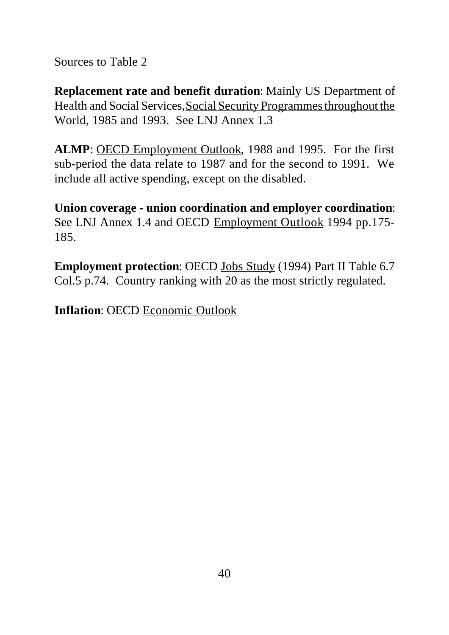Sources to Table 2

**Replacement rate and benefit duration**: Mainly US Department of Health and Social Services, Social Security Programmes throughout the World, 1985 and 1993. See LNJ Annex 1.3

**ALMP**: OECD Employment Outlook, 1988 and 1995. For the first sub-period the data relate to 1987 and for the second to 1991. We include all active spending, except on the disabled.

**Union coverage - union coordination and employer coordination**: See LNJ Annex 1.4 and OECD Employment Outlook 1994 pp.175- 185.

**Employment protection**: OECD Jobs Study (1994) Part II Table 6.7 Col.5 p.74. Country ranking with 20 as the most strictly regulated.

**Inflation**: OECD Economic Outlook